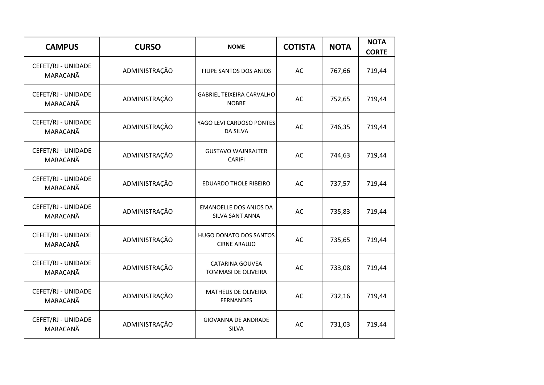| <b>CAMPUS</b>                  | <b>CURSO</b>  | <b>NOME</b>                                      | <b>COTISTA</b> | <b>NOTA</b> | <b>NOTA</b><br><b>CORTE</b> |
|--------------------------------|---------------|--------------------------------------------------|----------------|-------------|-----------------------------|
| CEFET/RJ - UNIDADE<br>MARACANÃ | ADMINISTRAÇÃO | FILIPE SANTOS DOS ANJOS                          | AC             | 767,66      | 719,44                      |
| CEFET/RJ - UNIDADE<br>MARACANÃ | ADMINISTRAÇÃO | <b>GABRIEL TEIXEIRA CARVALHO</b><br><b>NOBRE</b> | AC             | 752,65      | 719,44                      |
| CEFET/RJ - UNIDADE<br>MARACANÃ | ADMINISTRAÇÃO | YAGO LEVI CARDOSO PONTES<br><b>DA SILVA</b>      | AC             | 746,35      | 719,44                      |
| CEFET/RJ - UNIDADE<br>MARACANÃ | ADMINISTRAÇÃO | <b>GUSTAVO WAJNRAJTER</b><br>CARIFI              | AC             | 744,63      | 719,44                      |
| CEFET/RJ - UNIDADE<br>MARACANÃ | ADMINISTRAÇÃO | <b>EDUARDO THOLE RIBEIRO</b>                     | AC             | 737,57      | 719,44                      |
| CEFET/RJ - UNIDADE<br>MARACANÃ | ADMINISTRAÇÃO | <b>EMANOELLE DOS ANJOS DA</b><br>SILVA SANT ANNA | AC             | 735,83      | 719,44                      |
| CEFET/RJ - UNIDADE<br>MARACANÃ | ADMINISTRAÇÃO | HUGO DONATO DOS SANTOS<br><b>CIRNE ARAUJO</b>    | AC             | 735,65      | 719,44                      |
| CEFET/RJ - UNIDADE<br>MARACANÃ | ADMINISTRAÇÃO | CATARINA GOUVEA<br>TOMMASI DE OLIVEIRA           | AC             | 733,08      | 719,44                      |
| CEFET/RJ - UNIDADE<br>MARACANÃ | ADMINISTRAÇÃO | MATHEUS DE OLIVEIRA<br><b>FERNANDES</b>          | AC             | 732,16      | 719,44                      |
| CEFET/RJ - UNIDADE<br>MARACANÃ | ADMINISTRAÇÃO | <b>GIOVANNA DE ANDRADE</b><br>SILVA              | AC             | 731,03      | 719,44                      |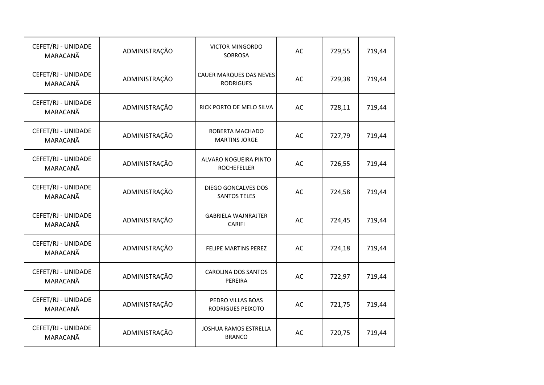| CEFET/RJ - UNIDADE<br>MARACANÃ | ADMINISTRAÇÃO | <b>VICTOR MINGORDO</b><br><b>SOBROSA</b>    | AC | 729,55 | 719,44 |
|--------------------------------|---------------|---------------------------------------------|----|--------|--------|
| CEFET/RJ - UNIDADE<br>MARACANÃ | ADMINISTRAÇÃO | CAUER MARQUES DAS NEVES<br><b>RODRIGUES</b> | AC | 729,38 | 719,44 |
| CEFET/RJ - UNIDADE<br>MARACANÃ | ADMINISTRAÇÃO | RICK PORTO DE MELO SILVA                    | AC | 728,11 | 719,44 |
| CEFET/RJ - UNIDADE<br>MARACANÃ | ADMINISTRAÇÃO | ROBERTA MACHADO<br><b>MARTINS JORGE</b>     | AC | 727,79 | 719,44 |
| CEFET/RJ - UNIDADE<br>MARACANÃ | ADMINISTRAÇÃO | ALVARO NOGUEIRA PINTO<br><b>ROCHEFELLER</b> | AC | 726,55 | 719,44 |
| CEFET/RJ - UNIDADE<br>MARACANÃ | ADMINISTRAÇÃO | DIEGO GONCALVES DOS<br><b>SANTOS TELES</b>  | AC | 724,58 | 719,44 |
| CEFET/RJ - UNIDADE<br>MARACANÃ | ADMINISTRAÇÃO | <b>GABRIELA WAJNRAJTER</b><br><b>CARIFI</b> | AC | 724,45 | 719,44 |
| CEFET/RJ - UNIDADE<br>MARACANÃ | ADMINISTRAÇÃO | FELIPE MARTINS PEREZ                        | AC | 724,18 | 719,44 |
| CEFET/RJ - UNIDADE<br>MARACANÃ | ADMINISTRAÇÃO | <b>CAROLINA DOS SANTOS</b><br>PEREIRA       | AC | 722,97 | 719,44 |
| CEFET/RJ - UNIDADE<br>MARACANÃ | ADMINISTRAÇÃO | PEDRO VILLAS BOAS<br>RODRIGUES PEIXOTO      | AC | 721,75 | 719,44 |
| CEFET/RJ - UNIDADE<br>MARACANÃ | ADMINISTRAÇÃO | JOSHUA RAMOS ESTRELLA<br><b>BRANCO</b>      | AC | 720,75 | 719,44 |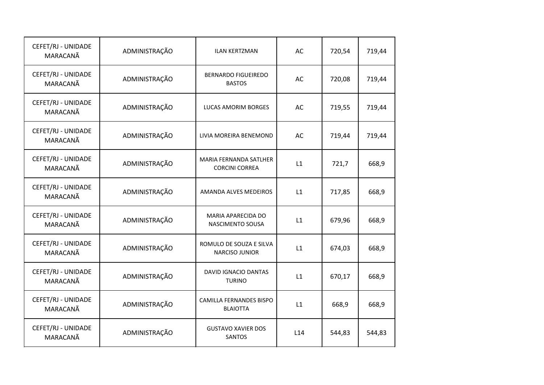| CEFET/RJ - UNIDADE<br>MARACANÃ | ADMINISTRAÇÃO | <b>ILAN KERTZMAN</b>                             | AC  | 720,54 | 719,44 |
|--------------------------------|---------------|--------------------------------------------------|-----|--------|--------|
| CEFET/RJ - UNIDADE<br>MARACANÃ | ADMINISTRAÇÃO | <b>BERNARDO FIGUEIREDO</b><br><b>BASTOS</b>      | AC  | 720,08 | 719,44 |
| CEFET/RJ - UNIDADE<br>MARACANÃ | ADMINISTRAÇÃO | LUCAS AMORIM BORGES                              | AC  | 719,55 | 719,44 |
| CEFET/RJ - UNIDADE<br>MARACANÃ | ADMINISTRAÇÃO | LIVIA MOREIRA BENEMOND                           | AC  | 719,44 | 719,44 |
| CEFET/RJ - UNIDADE<br>MARACANÃ | ADMINISTRAÇÃO | MARIA FERNANDA SATLHER<br><b>CORCINI CORREA</b>  | L1  | 721,7  | 668,9  |
| CEFET/RJ - UNIDADE<br>MARACANÃ | ADMINISTRAÇÃO | AMANDA ALVES MEDEIROS                            | L1  | 717,85 | 668,9  |
| CEFET/RJ - UNIDADE<br>MARACANÃ | ADMINISTRAÇÃO | MARIA APARECIDA DO<br>NASCIMENTO SOUSA           | L1  | 679,96 | 668,9  |
| CEFET/RJ - UNIDADE<br>MARACANÃ | ADMINISTRAÇÃO | ROMULO DE SOUZA E SILVA<br><b>NARCISO JUNIOR</b> | L1  | 674,03 | 668,9  |
| CEFET/RJ - UNIDADE<br>MARACANÃ | ADMINISTRAÇÃO | <b>DAVID IGNACIO DANTAS</b><br><b>TURINO</b>     | L1  | 670,17 | 668,9  |
| CEFET/RJ - UNIDADE<br>MARACANÃ | ADMINISTRAÇÃO | CAMILLA FERNANDES BISPO<br><b>BLAIOTTA</b>       | L1  | 668,9  | 668,9  |
| CEFET/RJ - UNIDADE<br>MARACANÃ | ADMINISTRAÇÃO | <b>GUSTAVO XAVIER DOS</b><br><b>SANTOS</b>       | L14 | 544,83 | 544,83 |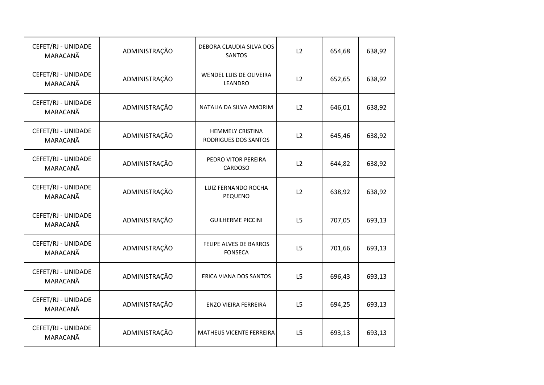| CEFET/RJ - UNIDADE<br>MARACANÃ | ADMINISTRAÇÃO | DEBORA CLAUDIA SILVA DOS<br><b>SANTOS</b>       | L2             | 654,68 | 638,92 |
|--------------------------------|---------------|-------------------------------------------------|----------------|--------|--------|
| CEFET/RJ - UNIDADE<br>MARACANÃ | ADMINISTRAÇÃO | WENDEL LUIS DE OLIVEIRA<br>LEANDRO              | L2             | 652,65 | 638,92 |
| CEFET/RJ - UNIDADE<br>MARACANÃ | ADMINISTRAÇÃO | NATALIA DA SILVA AMORIM                         | L2             | 646,01 | 638,92 |
| CEFET/RJ - UNIDADE<br>MARACANÃ | ADMINISTRAÇÃO | <b>HEMMELY CRISTINA</b><br>RODRIGUES DOS SANTOS | L2             | 645,46 | 638,92 |
| CEFET/RJ - UNIDADE<br>MARACANÃ | ADMINISTRAÇÃO | PEDRO VITOR PEREIRA<br>CARDOSO                  | L2             | 644,82 | 638,92 |
| CEFET/RJ - UNIDADE<br>MARACANÃ | ADMINISTRAÇÃO | LUIZ FERNANDO ROCHA<br>PEQUENO                  | L2             | 638,92 | 638,92 |
| CEFET/RJ - UNIDADE<br>MARACANÃ | ADMINISTRAÇÃO | <b>GUILHERME PICCINI</b>                        | L5             | 707,05 | 693,13 |
| CEFET/RJ - UNIDADE<br>MARACANÃ | ADMINISTRAÇÃO | FELIPE ALVES DE BARROS<br><b>FONSECA</b>        | L <sub>5</sub> | 701,66 | 693,13 |
| CEFET/RJ - UNIDADE<br>MARACANÃ | ADMINISTRAÇÃO | ERICA VIANA DOS SANTOS                          | L <sub>5</sub> | 696,43 | 693,13 |
| CEFET/RJ - UNIDADE<br>MARACANÃ | ADMINISTRAÇÃO | ENZO VIEIRA FERREIRA                            | L5             | 694,25 | 693,13 |
| CEFET/RJ - UNIDADE<br>MARACANÃ | ADMINISTRAÇÃO | MATHEUS VICENTE FERREIRA                        | L5             | 693,13 | 693,13 |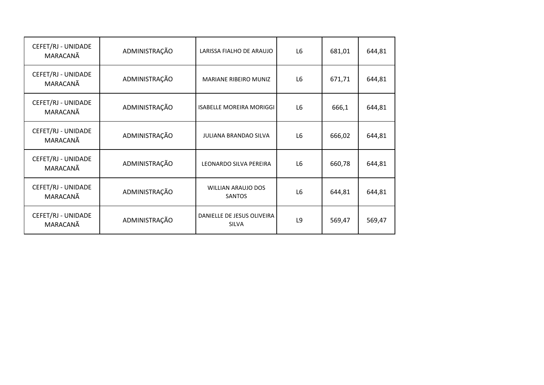| CEFET/RJ - UNIDADE<br>MARACANÃ | ADMINISTRAÇÃO | LARISSA FIALHO DE ARAUJO                   | L <sub>6</sub> | 681,01 | 644,81 |
|--------------------------------|---------------|--------------------------------------------|----------------|--------|--------|
| CEFET/RJ - UNIDADE<br>MARACANÃ | ADMINISTRAÇÃO | <b>MARIANE RIBEIRO MUNIZ</b>               | L <sub>6</sub> | 671,71 | 644,81 |
| CEFET/RJ - UNIDADE<br>MARACANÃ | ADMINISTRAÇÃO | <b>ISABELLE MOREIRA MORIGGI</b>            | L <sub>6</sub> | 666,1  | 644,81 |
| CEFET/RJ - UNIDADE<br>MARACANÃ | ADMINISTRAÇÃO | <b>JULIANA BRANDAO SILVA</b>               | L <sub>6</sub> | 666,02 | 644,81 |
| CEFET/RJ - UNIDADE<br>MARACANÃ | ADMINISTRAÇÃO | LEONARDO SILVA PEREIRA                     | L <sub>6</sub> | 660,78 | 644,81 |
| CEFET/RJ - UNIDADE<br>MARACANÃ | ADMINISTRAÇÃO | <b>WILLIAN ARAUJO DOS</b><br><b>SANTOS</b> | L <sub>6</sub> | 644,81 | 644,81 |
| CEFET/RJ - UNIDADE<br>MARACANÃ | ADMINISTRAÇÃO | DANIELLE DE JESUS OLIVEIRA<br><b>SILVA</b> | L9             | 569,47 | 569,47 |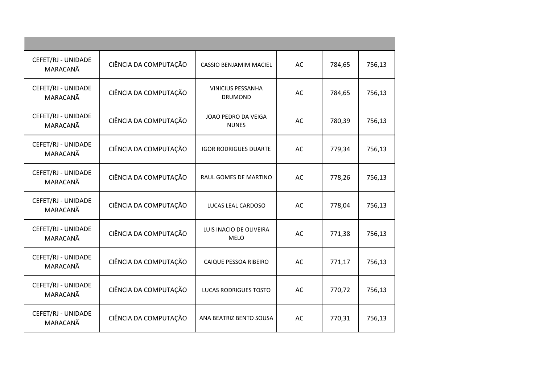| CEFET/RJ - UNIDADE<br>MARACANÃ | CIÊNCIA DA COMPUTAÇÃO | CASSIO BENJAMIM MACIEL                     | AC | 784,65 | 756,13 |
|--------------------------------|-----------------------|--------------------------------------------|----|--------|--------|
| CEFET/RJ - UNIDADE<br>MARACANÃ | CIÊNCIA DA COMPUTAÇÃO | <b>VINICIUS PESSANHA</b><br><b>DRUMOND</b> | AC | 784,65 | 756,13 |
| CEFET/RJ - UNIDADE<br>MARACANÃ | CIÊNCIA DA COMPUTAÇÃO | JOAO PEDRO DA VEIGA<br><b>NUNES</b>        | AC | 780,39 | 756,13 |
| CEFET/RJ - UNIDADE<br>MARACANÃ | CIÊNCIA DA COMPUTAÇÃO | <b>IGOR RODRIGUES DUARTE</b>               | AC | 779,34 | 756,13 |
| CEFET/RJ - UNIDADE<br>MARACANÃ | CIÊNCIA DA COMPUTAÇÃO | RAUL GOMES DE MARTINO                      | AC | 778,26 | 756,13 |
| CEFET/RJ - UNIDADE<br>MARACANÃ | CIÊNCIA DA COMPUTAÇÃO | LUCAS LEAL CARDOSO                         | AC | 778,04 | 756,13 |
| CEFET/RJ - UNIDADE<br>MARACANÃ | CIÊNCIA DA COMPUTAÇÃO | LUIS INACIO DE OLIVEIRA<br><b>MELO</b>     | AC | 771,38 | 756,13 |
| CEFET/RJ - UNIDADE<br>MARACANÃ | CIÊNCIA DA COMPUTAÇÃO | CAIQUE PESSOA RIBEIRO                      | AC | 771,17 | 756,13 |
| CEFET/RJ - UNIDADE<br>MARACANÃ | CIÊNCIA DA COMPUTAÇÃO | LUCAS RODRIGUES TOSTO                      | AC | 770,72 | 756,13 |
| CEFET/RJ - UNIDADE<br>MARACANÃ | CIÊNCIA DA COMPUTAÇÃO | ANA BEATRIZ BENTO SOUSA                    | AC | 770,31 | 756,13 |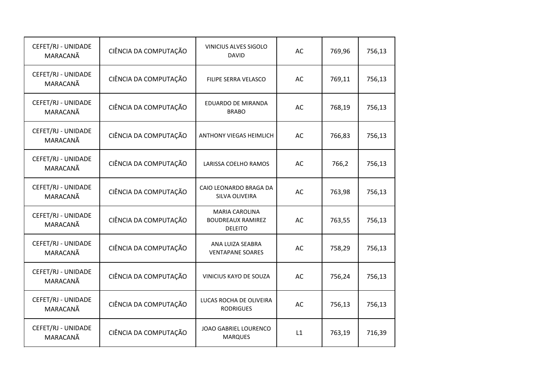| CEFET/RJ - UNIDADE<br>MARACANÃ | CIÊNCIA DA COMPUTAÇÃO | VINICIUS ALVES SIGOLO<br><b>DAVID</b>                               | AC | 769,96 | 756,13 |
|--------------------------------|-----------------------|---------------------------------------------------------------------|----|--------|--------|
| CEFET/RJ - UNIDADE<br>MARACANÃ | CIÊNCIA DA COMPUTAÇÃO | FILIPE SERRA VELASCO                                                | AC | 769,11 | 756,13 |
| CEFET/RJ - UNIDADE<br>MARACANÃ | CIÊNCIA DA COMPUTAÇÃO | EDUARDO DE MIRANDA<br><b>BRABO</b>                                  | AC | 768,19 | 756,13 |
| CEFET/RJ - UNIDADE<br>MARACANÃ | CIÊNCIA DA COMPUTAÇÃO | ANTHONY VIEGAS HEIMLICH                                             | AC | 766,83 | 756,13 |
| CEFET/RJ - UNIDADE<br>MARACANÃ | CIÊNCIA DA COMPUTAÇÃO | LARISSA COELHO RAMOS                                                | AC | 766,2  | 756,13 |
| CEFET/RJ - UNIDADE<br>MARACANÃ | CIÊNCIA DA COMPUTAÇÃO | CAIO LEONARDO BRAGA DA<br>SILVA OLIVEIRA                            | AC | 763,98 | 756,13 |
| CEFET/RJ - UNIDADE<br>MARACANÃ | CIÊNCIA DA COMPUTAÇÃO | <b>MARIA CAROLINA</b><br><b>BOUDREAUX RAMIREZ</b><br><b>DELEITO</b> | AC | 763,55 | 756,13 |
| CEFET/RJ - UNIDADE<br>MARACANÃ | CIÊNCIA DA COMPUTAÇÃO | ANA LUIZA SEABRA<br><b>VENTAPANE SOARES</b>                         | AC | 758,29 | 756,13 |
| CEFET/RJ - UNIDADE<br>MARACANÃ | CIÊNCIA DA COMPUTAÇÃO | VINICIUS KAYO DE SOUZA                                              | AC | 756,24 | 756,13 |
| CEFET/RJ - UNIDADE<br>MARACANÃ | CIÊNCIA DA COMPUTAÇÃO | LUCAS ROCHA DE OLIVEIRA<br><b>RODRIGUES</b>                         | AC | 756,13 | 756,13 |
| CEFET/RJ - UNIDADE<br>MARACANÃ | CIÊNCIA DA COMPUTAÇÃO | JOAO GABRIEL LOURENCO<br><b>MARQUES</b>                             | L1 | 763,19 | 716,39 |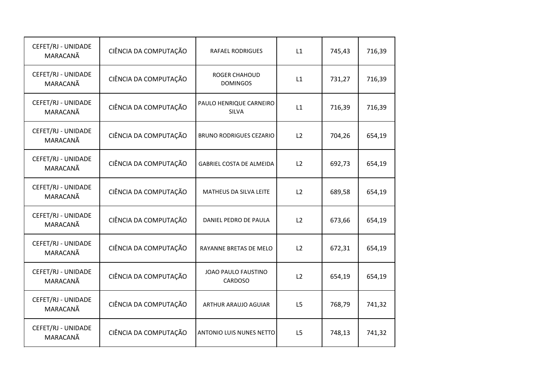| CEFET/RJ - UNIDADE<br>MARACANÃ | CIÊNCIA DA COMPUTAÇÃO | <b>RAFAEL RODRIGUES</b>                 | L1             | 745,43 | 716,39 |
|--------------------------------|-----------------------|-----------------------------------------|----------------|--------|--------|
| CEFET/RJ - UNIDADE<br>MARACANÃ | CIÊNCIA DA COMPUTAÇÃO | <b>ROGER CHAHOUD</b><br><b>DOMINGOS</b> | L1             | 731,27 | 716,39 |
| CEFET/RJ - UNIDADE<br>MARACANÃ | CIÊNCIA DA COMPUTAÇÃO | PAULO HENRIQUE CARNEIRO<br><b>SILVA</b> | L1             | 716,39 | 716,39 |
| CEFET/RJ - UNIDADE<br>MARACANÃ | CIÊNCIA DA COMPUTAÇÃO | <b>BRUNO RODRIGUES CEZARIO</b>          | L2             | 704,26 | 654,19 |
| CEFET/RJ - UNIDADE<br>MARACANÃ | CIÊNCIA DA COMPUTAÇÃO | GABRIEL COSTA DE ALMEIDA                | L2             | 692,73 | 654,19 |
| CEFET/RJ - UNIDADE<br>MARACANÃ | CIÊNCIA DA COMPUTAÇÃO | MATHEUS DA SILVA LEITE                  | L2             | 689,58 | 654,19 |
| CEFET/RJ - UNIDADE<br>MARACANÃ | CIÊNCIA DA COMPUTAÇÃO | DANIEL PEDRO DE PAULA                   | L2             | 673,66 | 654,19 |
| CEFET/RJ - UNIDADE<br>MARACANÃ | CIÊNCIA DA COMPUTAÇÃO | RAYANNE BRETAS DE MELO                  | L2             | 672,31 | 654,19 |
| CEFET/RJ - UNIDADE<br>MARACANÃ | CIÊNCIA DA COMPUTAÇÃO | JOAO PAULO FAUSTINO<br>CARDOSO          | L2             | 654,19 | 654,19 |
| CEFET/RJ - UNIDADE<br>MARACANÃ | CIÊNCIA DA COMPUTAÇÃO | ARTHUR ARAUJO AGUIAR                    | L <sub>5</sub> | 768,79 | 741,32 |
| CEFET/RJ - UNIDADE<br>MARACANÃ | CIÊNCIA DA COMPUTAÇÃO | ANTONIO LUIS NUNES NETTO                | L5             | 748,13 | 741,32 |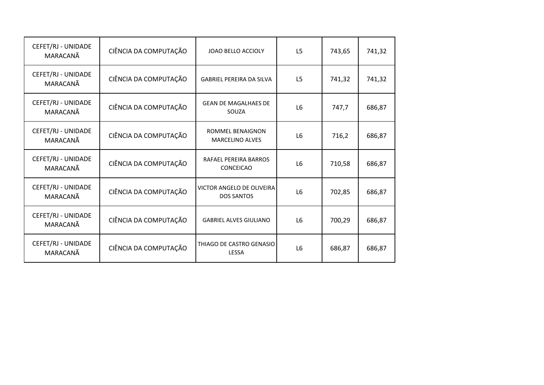| CEFET/RJ - UNIDADE<br>MARACANÃ | CIÊNCIA DA COMPUTAÇÃO | JOAO BELLO ACCIOLY                                    | L <sub>5</sub> | 743,65 | 741,32 |
|--------------------------------|-----------------------|-------------------------------------------------------|----------------|--------|--------|
| CEFET/RJ - UNIDADE<br>MARACANÃ | CIÊNCIA DA COMPUTAÇÃO | <b>GABRIEL PEREIRA DA SILVA</b>                       | L <sub>5</sub> | 741,32 | 741,32 |
| CEFET/RJ - UNIDADE<br>MARACANÃ | CIÊNCIA DA COMPUTAÇÃO | <b>GEAN DE MAGALHAES DE</b><br>SOUZA                  | L <sub>6</sub> | 747,7  | 686,87 |
| CEFET/RJ - UNIDADE<br>MARACANÃ | CIÊNCIA DA COMPUTAÇÃO | ROMMEL BENAIGNON<br><b>MARCELINO ALVES</b>            | L <sub>6</sub> | 716,2  | 686,87 |
| CEFET/RJ - UNIDADE<br>MARACANÃ | CIÊNCIA DA COMPUTAÇÃO | RAFAEL PEREIRA BARROS<br>CONCEICAO                    | L <sub>6</sub> | 710,58 | 686,87 |
| CEFET/RJ - UNIDADE<br>MARACANÃ | CIÊNCIA DA COMPUTAÇÃO | <b>VICTOR ANGELO DE OLIVEIRA</b><br><b>DOS SANTOS</b> | L <sub>6</sub> | 702,85 | 686,87 |
| CEFET/RJ - UNIDADE<br>MARACANÃ | CIÊNCIA DA COMPUTAÇÃO | <b>GABRIEL ALVES GIULIANO</b>                         | L <sub>6</sub> | 700,29 | 686,87 |
| CEFET/RJ - UNIDADE<br>MARACANA | CIÊNCIA DA COMPUTAÇÃO | THIAGO DE CASTRO GENASIO<br><b>LESSA</b>              | L <sub>6</sub> | 686,87 | 686,87 |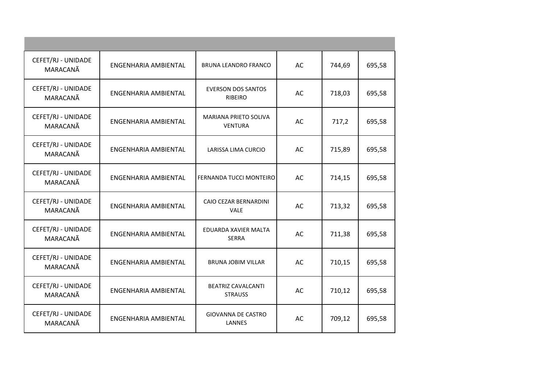| CEFET/RJ - UNIDADE<br>MARACANÃ | ENGENHARIA AMBIENTAL        | BRUNA LEANDRO FRANCO                        | AC | 744,69 | 695,58 |
|--------------------------------|-----------------------------|---------------------------------------------|----|--------|--------|
| CEFET/RJ - UNIDADE<br>MARACANÃ | <b>ENGENHARIA AMBIENTAL</b> | <b>EVERSON DOS SANTOS</b><br><b>RIBEIRO</b> | AC | 718,03 | 695,58 |
| CEFET/RJ - UNIDADE<br>MARACANÃ | ENGENHARIA AMBIENTAL        | MARIANA PRIETO SOLIVA<br><b>VENTURA</b>     | AC | 717,2  | 695,58 |
| CEFET/RJ - UNIDADE<br>MARACANÃ | ENGENHARIA AMBIENTAL        | LARISSA LIMA CURCIO                         | AC | 715,89 | 695,58 |
| CEFET/RJ - UNIDADE<br>MARACANÃ | ENGENHARIA AMBIENTAL        | FERNANDA TUCCI MONTEIRO                     | AC | 714,15 | 695,58 |
| CEFET/RJ - UNIDADE<br>MARACANÃ | ENGENHARIA AMBIENTAL        | CAIO CEZAR BERNARDINI<br><b>VALE</b>        | AC | 713,32 | 695,58 |
| CEFET/RJ - UNIDADE<br>MARACANÃ | ENGENHARIA AMBIENTAL        | EDUARDA XAVIER MALTA<br><b>SERRA</b>        | AC | 711,38 | 695,58 |
| CEFET/RJ - UNIDADE<br>MARACANÃ | ENGENHARIA AMBIENTAL        | <b>BRUNA JOBIM VILLAR</b>                   | AC | 710,15 | 695,58 |
| CEFET/RJ - UNIDADE<br>MARACANÃ | ENGENHARIA AMBIENTAL        | <b>BEATRIZ CAVALCANTI</b><br><b>STRAUSS</b> | AC | 710,12 | 695,58 |
| CEFET/RJ - UNIDADE<br>MARACANÃ | ENGENHARIA AMBIENTAL        | <b>GIOVANNA DE CASTRO</b><br>LANNES         | AC | 709,12 | 695,58 |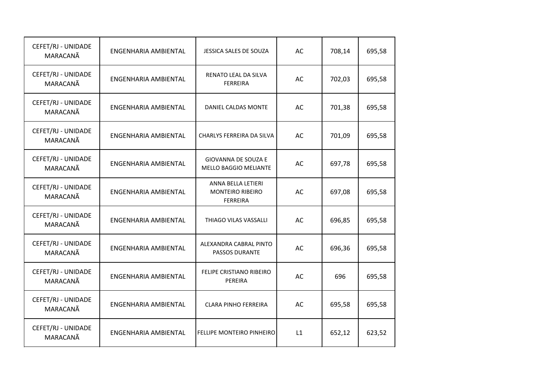| CEFET/RJ - UNIDADE<br>MARACANÃ | ENGENHARIA AMBIENTAL | JESSICA SALES DE SOUZA                                           | AC | 708,14 | 695,58 |
|--------------------------------|----------------------|------------------------------------------------------------------|----|--------|--------|
| CEFET/RJ - UNIDADE<br>MARACANÃ | ENGENHARIA AMBIENTAL | RENATO LEAL DA SILVA<br><b>FERREIRA</b>                          | AC | 702,03 | 695,58 |
| CEFET/RJ - UNIDADE<br>MARACANÃ | ENGENHARIA AMBIENTAL | DANIEL CALDAS MONTE                                              | AC | 701,38 | 695,58 |
| CEFET/RJ - UNIDADE<br>MARACANÃ | ENGENHARIA AMBIENTAL | CHARLYS FERREIRA DA SILVA                                        | AC | 701,09 | 695,58 |
| CEFET/RJ - UNIDADE<br>MARACANÃ | ENGENHARIA AMBIENTAL | <b>GIOVANNA DE SOUZA E</b><br><b>MELLO BAGGIO MELIANTE</b>       | AC | 697,78 | 695,58 |
| CEFET/RJ - UNIDADE<br>MARACANÃ | ENGENHARIA AMBIENTAL | ANNA BELLA LETIERI<br><b>MONTEIRO RIBEIRO</b><br><b>FERREIRA</b> | AC | 697,08 | 695,58 |
| CEFET/RJ - UNIDADE<br>MARACANÃ | ENGENHARIA AMBIENTAL | THIAGO VILAS VASSALLI                                            | AC | 696,85 | 695,58 |
| CEFET/RJ - UNIDADE<br>MARACANÃ | ENGENHARIA AMBIENTAL | ALEXANDRA CABRAL PINTO<br>PASSOS DURANTE                         | AC | 696,36 | 695,58 |
| CEFET/RJ - UNIDADE<br>MARACANÃ | ENGENHARIA AMBIENTAL | FELIPE CRISTIANO RIBEIRO<br>PEREIRA                              | AC | 696    | 695,58 |
| CEFET/RJ - UNIDADE<br>MARACANÃ | ENGENHARIA AMBIENTAL | <b>CLARA PINHO FERREIRA</b>                                      | AC | 695,58 | 695,58 |
| CEFET/RJ - UNIDADE<br>MARACANÃ | ENGENHARIA AMBIENTAL | <b>FELLIPE MONTEIRO PINHEIRO</b>                                 | L1 | 652,12 | 623,52 |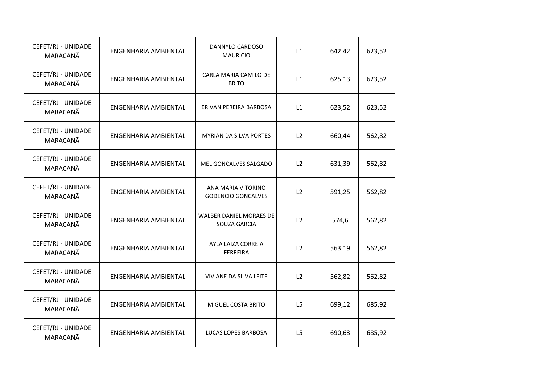| CEFET/RJ - UNIDADE<br>MARACANÃ | ENGENHARIA AMBIENTAL | DANNYLO CARDOSO<br><b>MAURICIO</b>              | L1             | 642,42 | 623,52 |
|--------------------------------|----------------------|-------------------------------------------------|----------------|--------|--------|
| CEFET/RJ - UNIDADE<br>MARACANÃ | ENGENHARIA AMBIENTAL | CARLA MARIA CAMILO DE<br><b>BRITO</b>           | L1             | 625,13 | 623,52 |
| CEFET/RJ - UNIDADE<br>MARACANÃ | ENGENHARIA AMBIENTAL | ERIVAN PEREIRA BARBOSA                          | L1             | 623,52 | 623,52 |
| CEFET/RJ - UNIDADE<br>MARACANÃ | ENGENHARIA AMBIENTAL | <b>MYRIAN DA SILVA PORTES</b>                   | L2             | 660,44 | 562,82 |
| CEFET/RJ - UNIDADE<br>MARACANÃ | ENGENHARIA AMBIENTAL | MEL GONCALVES SALGADO                           | L2             | 631,39 | 562,82 |
| CEFET/RJ - UNIDADE<br>MARACANÃ | ENGENHARIA AMBIENTAL | ANA MARIA VITORINO<br><b>GODENCIO GONCALVES</b> | L2             | 591,25 | 562,82 |
| CEFET/RJ - UNIDADE<br>MARACANÃ | ENGENHARIA AMBIENTAL | WALBER DANIEL MORAES DE<br>SOUZA GARCIA         | L2             | 574,6  | 562,82 |
| CEFET/RJ - UNIDADE<br>MARACANÃ | ENGENHARIA AMBIENTAL | AYLA LAIZA CORREIA<br><b>FERREIRA</b>           | L2             | 563,19 | 562,82 |
| CEFET/RJ - UNIDADE<br>MARACANÃ | ENGENHARIA AMBIENTAL | VIVIANE DA SILVA LEITE                          | L2             | 562,82 | 562,82 |
| CEFET/RJ - UNIDADE<br>MARACANÃ | ENGENHARIA AMBIENTAL | MIGUEL COSTA BRITO                              | L5             | 699,12 | 685,92 |
| CEFET/RJ - UNIDADE<br>MARACANÃ | ENGENHARIA AMBIENTAL | LUCAS LOPES BARBOSA                             | L <sub>5</sub> | 690,63 | 685,92 |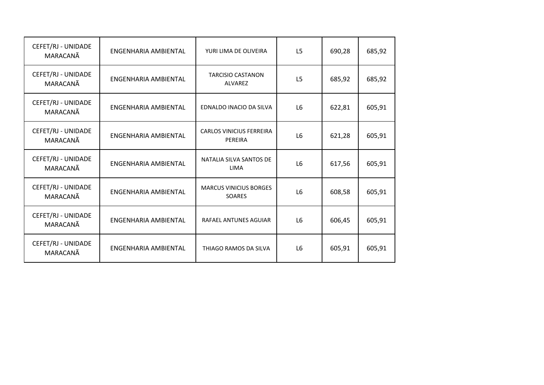| CEFET/RJ - UNIDADE<br>MARACANÃ | ENGENHARIA AMBIENTAL | YURI LIMA DE OLIVEIRA                          | L <sub>5</sub> | 690,28 | 685,92 |
|--------------------------------|----------------------|------------------------------------------------|----------------|--------|--------|
| CEFET/RJ - UNIDADE<br>MARACANÃ | ENGENHARIA AMBIENTAL | <b>TARCISIO CASTANON</b><br><b>ALVAREZ</b>     | L <sub>5</sub> | 685,92 | 685,92 |
| CEFET/RJ - UNIDADE<br>MARACANÃ | ENGENHARIA AMBIENTAL | EDNALDO INACIO DA SILVA                        | L <sub>6</sub> | 622,81 | 605,91 |
| CEFET/RJ - UNIDADE<br>MARACANÃ | ENGENHARIA AMBIENTAL | <b>CARLOS VINICIUS FERREIRA</b><br>PEREIRA     | L <sub>6</sub> | 621,28 | 605,91 |
| CEFET/RJ - UNIDADE<br>MARACANÃ | ENGENHARIA AMBIENTAL | NATALIA SILVA SANTOS DE<br><b>LIMA</b>         | L <sub>6</sub> | 617,56 | 605,91 |
| CEFET/RJ - UNIDADE<br>MARACANÃ | ENGENHARIA AMBIENTAL | <b>MARCUS VINICIUS BORGES</b><br><b>SOARES</b> | L <sub>6</sub> | 608,58 | 605,91 |
| CEFET/RJ - UNIDADE<br>MARACANÃ | ENGENHARIA AMBIENTAL | RAFAEL ANTUNES AGUIAR                          | L <sub>6</sub> | 606,45 | 605,91 |
| CEFET/RJ - UNIDADE<br>MARACANÃ | ENGENHARIA AMBIENTAL | THIAGO RAMOS DA SILVA                          | L <sub>6</sub> | 605,91 | 605,91 |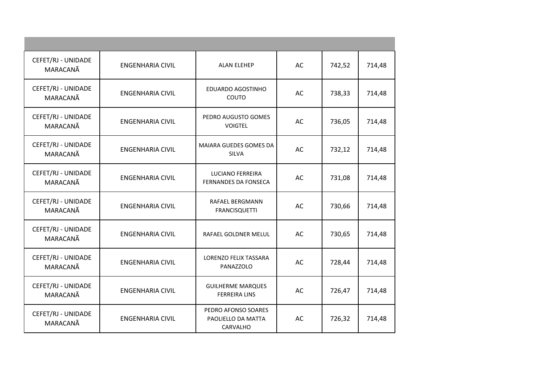| CEFET/RJ - UNIDADE<br>MARACANÃ | <b>ENGENHARIA CIVIL</b> | <b>ALAN ELEHEP</b>                                    | AC        | 742,52 | 714,48 |
|--------------------------------|-------------------------|-------------------------------------------------------|-----------|--------|--------|
| CEFET/RJ - UNIDADE<br>MARACANÃ | <b>ENGENHARIA CIVIL</b> | EDUARDO AGOSTINHO<br>COUTO                            | AC        | 738,33 | 714,48 |
| CEFET/RJ - UNIDADE<br>MARACANÃ | <b>ENGENHARIA CIVIL</b> | PEDRO AUGUSTO GOMES<br><b>VOIGTEL</b>                 | AC        | 736,05 | 714,48 |
| CEFET/RJ - UNIDADE<br>MARACANÃ | <b>ENGENHARIA CIVIL</b> | MAIARA GUEDES GOMES DA<br>SILVA                       | <b>AC</b> | 732,12 | 714,48 |
| CEFET/RJ - UNIDADE<br>MARACANÃ | <b>ENGENHARIA CIVIL</b> | <b>LUCIANO FERREIRA</b><br>FERNANDES DA FONSECA       | AC        | 731,08 | 714,48 |
| CEFET/RJ - UNIDADE<br>MARACANÃ | <b>ENGENHARIA CIVIL</b> | <b>RAFAEL BERGMANN</b><br><b>FRANCISQUETTI</b>        | AC        | 730,66 | 714,48 |
| CEFET/RJ - UNIDADE<br>MARACANÃ | <b>ENGENHARIA CIVIL</b> | RAFAEL GOLDNER MELUL                                  | AC        | 730,65 | 714,48 |
| CEFET/RJ - UNIDADE<br>MARACANÃ | <b>ENGENHARIA CIVIL</b> | <b>LORENZO FELIX TASSARA</b><br>PANAZZOLO             | AC        | 728,44 | 714,48 |
| CEFET/RJ - UNIDADE<br>MARACANÃ | <b>ENGENHARIA CIVIL</b> | <b>GUILHERME MARQUES</b><br><b>FERREIRA LINS</b>      | AC        | 726,47 | 714,48 |
| CEFET/RJ - UNIDADE<br>MARACANÃ | <b>ENGENHARIA CIVIL</b> | PEDRO AFONSO SOARES<br>PAOLIELLO DA MATTA<br>CARVALHO | AC        | 726,32 | 714,48 |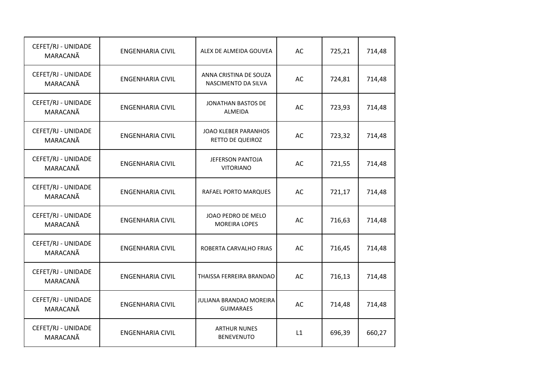| CEFET/RJ - UNIDADE<br>MARACANÃ | <b>ENGENHARIA CIVIL</b> | ALEX DE ALMEIDA GOUVEA                        | AC | 725,21 | 714,48 |
|--------------------------------|-------------------------|-----------------------------------------------|----|--------|--------|
| CEFET/RJ - UNIDADE<br>MARACANÃ | <b>ENGENHARIA CIVIL</b> | ANNA CRISTINA DE SOUZA<br>NASCIMENTO DA SILVA | AC | 724,81 | 714,48 |
| CEFET/RJ - UNIDADE<br>MARACANÃ | <b>ENGENHARIA CIVIL</b> | <b>JONATHAN BASTOS DE</b><br>ALMEIDA          | AC | 723,93 | 714,48 |
| CEFET/RJ - UNIDADE<br>MARACANÃ | <b>ENGENHARIA CIVIL</b> | JOAO KLEBER PARANHOS<br>RETTO DE QUEIROZ      | AC | 723,32 | 714,48 |
| CEFET/RJ - UNIDADE<br>MARACANÃ | <b>ENGENHARIA CIVIL</b> | <b>JEFERSON PANTOJA</b><br><b>VITORIANO</b>   | AC | 721,55 | 714,48 |
| CEFET/RJ - UNIDADE<br>MARACANÃ | <b>ENGENHARIA CIVIL</b> | RAFAEL PORTO MARQUES                          | AC | 721,17 | 714,48 |
| CEFET/RJ - UNIDADE<br>MARACANÃ | <b>ENGENHARIA CIVIL</b> | JOAO PEDRO DE MELO<br><b>MOREIRA LOPES</b>    | AC | 716,63 | 714,48 |
| CEFET/RJ - UNIDADE<br>MARACANÃ | <b>ENGENHARIA CIVIL</b> | ROBERTA CARVALHO FRIAS                        | AC | 716,45 | 714,48 |
| CEFET/RJ - UNIDADE<br>MARACANÃ | <b>ENGENHARIA CIVIL</b> | THAISSA FERREIRA BRANDAO                      | AC | 716,13 | 714,48 |
| CEFET/RJ - UNIDADE<br>MARACANÃ | <b>ENGENHARIA CIVIL</b> | JULIANA BRANDAO MOREIRA<br><b>GUIMARAES</b>   | AC | 714,48 | 714,48 |
| CEFET/RJ - UNIDADE<br>MARACANÃ | <b>ENGENHARIA CIVIL</b> | <b>ARTHUR NUNES</b><br><b>BENEVENUTO</b>      | L1 | 696,39 | 660,27 |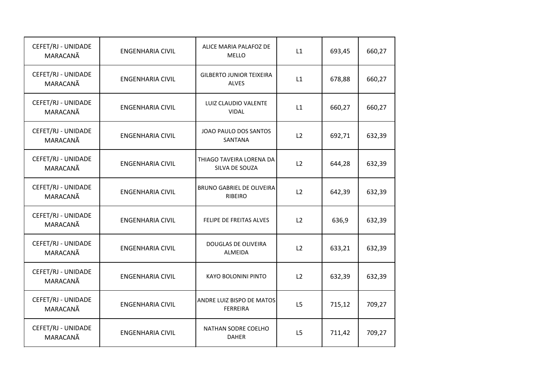| CEFET/RJ - UNIDADE<br>MARACANÃ | <b>ENGENHARIA CIVIL</b> | ALICE MARIA PALAFOZ DE<br><b>MELLO</b>       | L1 | 693,45 | 660,27 |
|--------------------------------|-------------------------|----------------------------------------------|----|--------|--------|
| CEFET/RJ - UNIDADE<br>MARACANÃ | <b>ENGENHARIA CIVIL</b> | <b>GILBERTO JUNIOR TEIXEIRA</b><br>ALVES     | L1 | 678,88 | 660,27 |
| CEFET/RJ - UNIDADE<br>MARACANÃ | <b>ENGENHARIA CIVIL</b> | LUIZ CLAUDIO VALENTE<br><b>VIDAL</b>         | L1 | 660,27 | 660,27 |
| CEFET/RJ - UNIDADE<br>MARACANÃ | <b>ENGENHARIA CIVIL</b> | JOAO PAULO DOS SANTOS<br>SANTANA             | L2 | 692,71 | 632,39 |
| CEFET/RJ - UNIDADE<br>MARACANÃ | <b>ENGENHARIA CIVIL</b> | THIAGO TAVEIRA LORENA DA<br>SILVA DE SOUZA   | L2 | 644,28 | 632,39 |
| CEFET/RJ - UNIDADE<br>MARACANÃ | <b>ENGENHARIA CIVIL</b> | <b>BRUNO GABRIEL DE OLIVEIRA</b><br>RIBEIRO  | L2 | 642,39 | 632,39 |
| CEFET/RJ - UNIDADE<br>MARACANÃ | <b>ENGENHARIA CIVIL</b> | FELIPE DE FREITAS ALVES                      | L2 | 636,9  | 632,39 |
| CEFET/RJ - UNIDADE<br>MARACANÃ | <b>ENGENHARIA CIVIL</b> | DOUGLAS DE OLIVEIRA<br>ALMEIDA               | L2 | 633,21 | 632,39 |
| CEFET/RJ - UNIDADE<br>MARACANÃ | <b>ENGENHARIA CIVIL</b> | <b>KAYO BOLONINI PINTO</b>                   | L2 | 632,39 | 632,39 |
| CEFET/RJ - UNIDADE<br>MARACANÃ | <b>ENGENHARIA CIVIL</b> | ANDRE LUIZ BISPO DE MATOS<br><b>FERREIRA</b> | L5 | 715,12 | 709,27 |
| CEFET/RJ - UNIDADE<br>MARACANÃ | <b>ENGENHARIA CIVIL</b> | NATHAN SODRE COELHO<br><b>DAHER</b>          | L5 | 711,42 | 709,27 |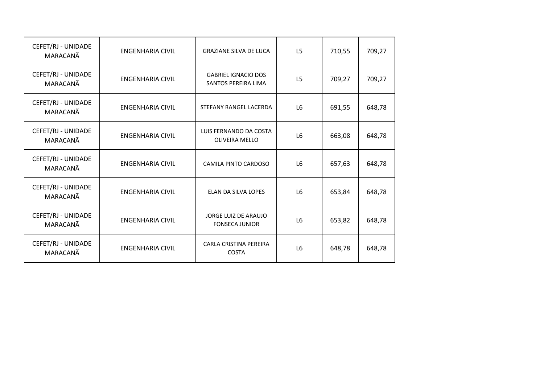| CEFET/RJ - UNIDADE<br>MARACANÃ | <b>ENGENHARIA CIVIL</b> | <b>GRAZIANE SILVA DE LUCA</b>                     | L <sub>5</sub> | 710,55 | 709,27 |
|--------------------------------|-------------------------|---------------------------------------------------|----------------|--------|--------|
| CEFET/RJ - UNIDADE<br>MARACANÃ | <b>ENGENHARIA CIVIL</b> | <b>GABRIEL IGNACIO DOS</b><br>SANTOS PEREIRA LIMA | L <sub>5</sub> | 709,27 | 709,27 |
| CEFET/RJ - UNIDADE<br>MARACANÃ | <b>ENGENHARIA CIVIL</b> | STEFANY RANGEL LACERDA                            | L <sub>6</sub> | 691,55 | 648,78 |
| CEFET/RJ - UNIDADE<br>MARACANÃ | <b>ENGENHARIA CIVIL</b> | LUIS FERNANDO DA COSTA<br><b>OLIVEIRA MELLO</b>   | L <sub>6</sub> | 663,08 | 648,78 |
| CEFET/RJ - UNIDADE<br>MARACANÃ | <b>ENGENHARIA CIVIL</b> | CAMILA PINTO CARDOSO                              | L <sub>6</sub> | 657,63 | 648,78 |
| CEFET/RJ - UNIDADE<br>MARACANÃ | ENGENHARIA CIVIL        | ELAN DA SILVA LOPES                               | L <sub>6</sub> | 653,84 | 648,78 |
| CEFET/RJ - UNIDADE<br>MARACANÃ | <b>ENGENHARIA CIVIL</b> | JORGE LUIZ DE ARAUJO<br><b>FONSECA JUNIOR</b>     | L6             | 653,82 | 648,78 |
| CEFET/RJ - UNIDADE<br>MARACANÃ | <b>ENGENHARIA CIVIL</b> | CARLA CRISTINA PEREIRA<br><b>COSTA</b>            | L <sub>6</sub> | 648,78 | 648,78 |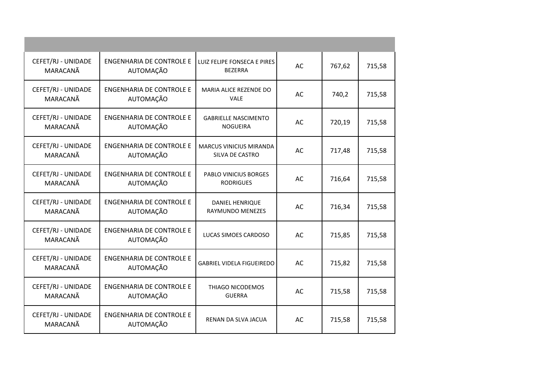| CEFET/RJ - UNIDADE<br>MARACANÃ | <b>ENGENHARIA DE CONTROLE E</b><br>AUTOMAÇÃO | LUIZ FELIPE FONSECA E PIRES<br><b>BEZERRA</b>     | <b>AC</b> | 767,62 | 715,58 |
|--------------------------------|----------------------------------------------|---------------------------------------------------|-----------|--------|--------|
| CEFET/RJ - UNIDADE<br>MARACANÃ | <b>ENGENHARIA DE CONTROLE E</b><br>AUTOMAÇÃO | MARIA ALICE REZENDE DO<br><b>VALE</b>             | AC        | 740,2  | 715,58 |
| CEFET/RJ - UNIDADE<br>MARACANÃ | <b>ENGENHARIA DE CONTROLE E</b><br>AUTOMAÇÃO | <b>GABRIELLE NASCIMENTO</b><br><b>NOGUEIRA</b>    | AC        | 720,19 | 715,58 |
| CEFET/RJ - UNIDADE<br>MARACANÃ | ENGENHARIA DE CONTROLE E<br>AUTOMAÇÃO        | <b>MARCUS VINICIUS MIRANDA</b><br>SILVA DE CASTRO | AC        | 717,48 | 715,58 |
| CEFET/RJ - UNIDADE<br>MARACANÃ | <b>ENGENHARIA DE CONTROLE E</b><br>AUTOMAÇÃO | PABLO VINICIUS BORGES<br><b>RODRIGUES</b>         | AC        | 716,64 | 715,58 |
| CEFET/RJ - UNIDADE<br>MARACANÃ | <b>ENGENHARIA DE CONTROLE E</b><br>AUTOMAÇÃO | <b>DANIEL HENRIQUE</b><br><b>RAYMUNDO MENEZES</b> | AC        | 716,34 | 715,58 |
| CEFET/RJ - UNIDADE<br>MARACANÃ | <b>ENGENHARIA DE CONTROLE E</b><br>AUTOMAÇÃO | LUCAS SIMOES CARDOSO                              | AC        | 715,85 | 715,58 |
| CEFET/RJ - UNIDADE<br>MARACANÃ | <b>ENGENHARIA DE CONTROLE E</b><br>AUTOMAÇÃO | <b>GABRIEL VIDELA FIGUEIREDO</b>                  | AC        | 715,82 | 715,58 |
| CEFET/RJ - UNIDADE<br>MARACANÃ | <b>ENGENHARIA DE CONTROLE E</b><br>AUTOMAÇÃO | THIAGO NICODEMOS<br><b>GUERRA</b>                 | AC        | 715,58 | 715,58 |
| CEFET/RJ - UNIDADE<br>MARACANÃ | <b>ENGENHARIA DE CONTROLE E</b><br>AUTOMAÇÃO | RENAN DA SLVA JACUA                               | AC        | 715,58 | 715,58 |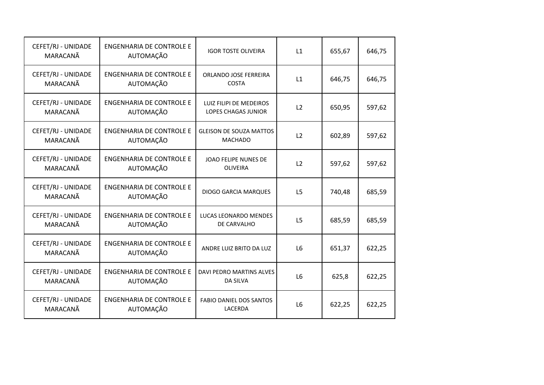| CEFET/RJ - UNIDADE<br>MARACANÃ | <b>ENGENHARIA DE CONTROLE E</b><br>AUTOMAÇÃO | <b>IGOR TOSTE OLIVEIRA</b>                            | L1             | 655,67 | 646,75 |
|--------------------------------|----------------------------------------------|-------------------------------------------------------|----------------|--------|--------|
| CEFET/RJ - UNIDADE<br>MARACANÃ | <b>ENGENHARIA DE CONTROLE E</b><br>AUTOMAÇÃO | ORLANDO JOSE FERREIRA<br><b>COSTA</b>                 | L1             | 646,75 | 646,75 |
| CEFET/RJ - UNIDADE<br>MARACANÃ | <b>ENGENHARIA DE CONTROLE E</b><br>AUTOMAÇÃO | LUIZ FILIPI DE MEDEIROS<br><b>LOPES CHAGAS JUNIOR</b> | L2             | 650,95 | 597,62 |
| CEFET/RJ - UNIDADE<br>MARACANÃ | <b>ENGENHARIA DE CONTROLE E</b><br>AUTOMAÇÃO | <b>GLEISON DE SOUZA MATTOS</b><br><b>MACHADO</b>      | L2             | 602,89 | 597,62 |
| CEFET/RJ - UNIDADE<br>MARACANÃ | <b>ENGENHARIA DE CONTROLE E</b><br>AUTOMAÇÃO | JOAO FELIPE NUNES DE<br>OLIVEIRA                      | L2             | 597,62 | 597,62 |
| CEFET/RJ - UNIDADE<br>MARACANÃ | <b>ENGENHARIA DE CONTROLE E</b><br>AUTOMAÇÃO | <b>DIOGO GARCIA MARQUES</b>                           | L <sub>5</sub> | 740,48 | 685,59 |
| CEFET/RJ - UNIDADE<br>MARACANÃ | <b>ENGENHARIA DE CONTROLE E</b><br>AUTOMAÇÃO | LUCAS LEONARDO MENDES<br>DE CARVALHO                  | L5             | 685,59 | 685,59 |
| CEFET/RJ - UNIDADE<br>MARACANÃ | <b>ENGENHARIA DE CONTROLE E</b><br>AUTOMAÇÃO | ANDRE LUIZ BRITO DA LUZ                               | L <sub>6</sub> | 651,37 | 622,25 |
| CEFET/RJ - UNIDADE<br>MARACANÃ | <b>ENGENHARIA DE CONTROLE E</b><br>AUTOMAÇÃO | DAVI PEDRO MARTINS ALVES<br><b>DA SILVA</b>           | L <sub>6</sub> | 625,8  | 622,25 |
| CEFET/RJ - UNIDADE<br>MARACANÃ | <b>ENGENHARIA DE CONTROLE E</b><br>AUTOMAÇÃO | <b>FABIO DANIEL DOS SANTOS</b><br>LACERDA             | L <sub>6</sub> | 622,25 | 622,25 |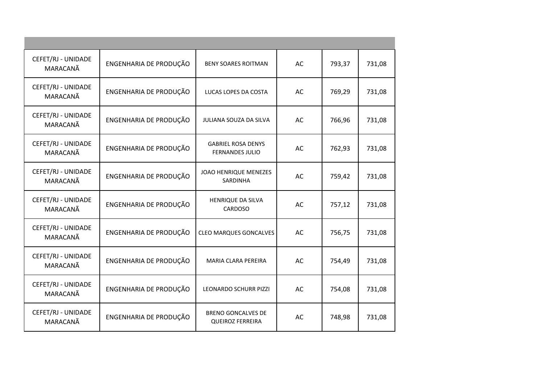| CEFET/RJ - UNIDADE<br>MARACANÃ | ENGENHARIA DE PRODUÇÃO | <b>BENY SOARES ROITMAN</b>                           | AC | 793,37 | 731,08 |
|--------------------------------|------------------------|------------------------------------------------------|----|--------|--------|
| CEFET/RJ - UNIDADE<br>MARACANÃ | ENGENHARIA DE PRODUÇÃO | LUCAS LOPES DA COSTA                                 | AC | 769,29 | 731,08 |
| CEFET/RJ - UNIDADE<br>MARACANÃ | ENGENHARIA DE PRODUÇÃO | JULIANA SOUZA DA SILVA                               | AC | 766,96 | 731,08 |
| CEFET/RJ - UNIDADE<br>MARACANÃ | ENGENHARIA DE PRODUÇÃO | <b>GABRIEL ROSA DENYS</b><br><b>FERNANDES JULIO</b>  | AC | 762,93 | 731,08 |
| CEFET/RJ - UNIDADE<br>MARACANÃ | ENGENHARIA DE PRODUÇÃO | <b>JOAO HENRIQUE MENEZES</b><br>SARDINHA             | AC | 759,42 | 731,08 |
| CEFET/RJ - UNIDADE<br>MARACANÃ | ENGENHARIA DE PRODUÇÃO | <b>HENRIQUE DA SILVA</b><br>CARDOSO                  | AC | 757,12 | 731,08 |
| CEFET/RJ - UNIDADE<br>MARACANÃ | ENGENHARIA DE PRODUÇÃO | <b>CLEO MARQUES GONCALVES</b>                        | AC | 756,75 | 731,08 |
| CEFET/RJ - UNIDADE<br>MARACANÃ | ENGENHARIA DE PRODUÇÃO | MARIA CLARA PEREIRA                                  | AC | 754,49 | 731,08 |
| CEFET/RJ - UNIDADE<br>MARACANÃ | ENGENHARIA DE PRODUÇÃO | <b>LEONARDO SCHURR PIZZI</b>                         | AC | 754,08 | 731,08 |
| CEFET/RJ - UNIDADE<br>MARACANÃ | ENGENHARIA DE PRODUÇÃO | <b>BRENO GONCALVES DE</b><br><b>QUEIROZ FERREIRA</b> | AC | 748,98 | 731,08 |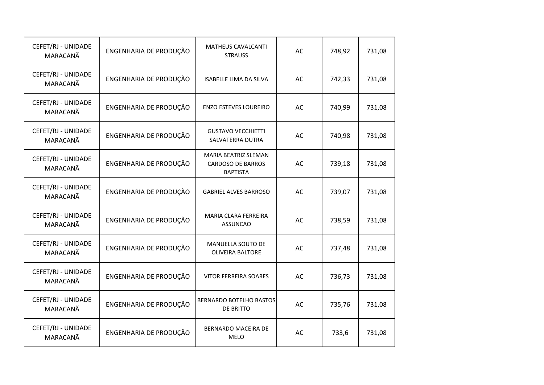| CEFET/RJ - UNIDADE<br>MARACANÃ | ENGENHARIA DE PRODUÇÃO | MATHEUS CAVALCANTI<br><b>STRAUSS</b>                                | AC | 748,92 | 731,08 |
|--------------------------------|------------------------|---------------------------------------------------------------------|----|--------|--------|
| CEFET/RJ - UNIDADE<br>MARACANÃ | ENGENHARIA DE PRODUÇÃO | <b>ISABELLE LIMA DA SILVA</b>                                       | AC | 742,33 | 731,08 |
| CEFET/RJ - UNIDADE<br>MARACANÃ | ENGENHARIA DE PRODUÇÃO | <b>ENZO ESTEVES LOUREIRO</b>                                        | AC | 740,99 | 731,08 |
| CEFET/RJ - UNIDADE<br>MARACANÃ | ENGENHARIA DE PRODUÇÃO | <b>GUSTAVO VECCHIETTI</b><br>SALVATERRA DUTRA                       | AC | 740,98 | 731,08 |
| CEFET/RJ - UNIDADE<br>MARACANÃ | ENGENHARIA DE PRODUÇÃO | MARIA BEATRIZ SLEMAN<br><b>CARDOSO DE BARROS</b><br><b>BAPTISTA</b> | AC | 739,18 | 731,08 |
| CEFET/RJ - UNIDADE<br>MARACANÃ | ENGENHARIA DE PRODUÇÃO | <b>GABRIEL ALVES BARROSO</b>                                        | AC | 739,07 | 731,08 |
| CEFET/RJ - UNIDADE<br>MARACANÃ | ENGENHARIA DE PRODUÇÃO | <b>MARIA CLARA FERREIRA</b><br><b>ASSUNCAO</b>                      | AC | 738,59 | 731,08 |
| CEFET/RJ - UNIDADE<br>MARACANÃ | ENGENHARIA DE PRODUÇÃO | <b>MANUELLA SOUTO DE</b><br><b>OLIVEIRA BALTORE</b>                 | AC | 737,48 | 731,08 |
| CEFET/RJ - UNIDADE<br>MARACANÃ | ENGENHARIA DE PRODUÇÃO | <b>VITOR FERREIRA SOARES</b>                                        | AC | 736,73 | 731,08 |
| CEFET/RJ - UNIDADE<br>MARACANÃ | ENGENHARIA DE PRODUÇÃO | <b>BERNARDO BOTELHO BASTOS</b><br>DE BRITTO                         | AC | 735,76 | 731,08 |
| CEFET/RJ - UNIDADE<br>MARACANÃ | ENGENHARIA DE PRODUÇÃO | BERNARDO MACEIRA DE<br><b>MELO</b>                                  | AC | 733,6  | 731,08 |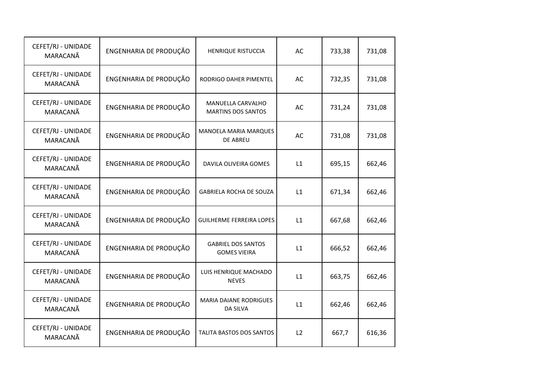| CEFET/RJ - UNIDADE<br>MARACANÃ | ENGENHARIA DE PRODUÇÃO | <b>HENRIQUE RISTUCCIA</b>                        | AC | 733,38 | 731,08 |
|--------------------------------|------------------------|--------------------------------------------------|----|--------|--------|
| CEFET/RJ - UNIDADE<br>MARACANÃ | ENGENHARIA DE PRODUÇÃO | RODRIGO DAHER PIMENTEL                           | AC | 732,35 | 731,08 |
| CEFET/RJ - UNIDADE<br>MARACANÃ | ENGENHARIA DE PRODUÇÃO | MANUELLA CARVALHO<br><b>MARTINS DOS SANTOS</b>   | AC | 731,24 | 731,08 |
| CEFET/RJ - UNIDADE<br>MARACANÃ | ENGENHARIA DE PRODUÇÃO | MANOELA MARIA MARQUES<br>DE ABREU                | AC | 731,08 | 731,08 |
| CEFET/RJ - UNIDADE<br>MARACANÃ | ENGENHARIA DE PRODUÇÃO | DAVILA OLIVEIRA GOMES                            | L1 | 695,15 | 662,46 |
| CEFET/RJ - UNIDADE<br>MARACANÃ | ENGENHARIA DE PRODUÇÃO | <b>GABRIELA ROCHA DE SOUZA</b>                   | L1 | 671,34 | 662,46 |
| CEFET/RJ - UNIDADE<br>MARACANÃ | ENGENHARIA DE PRODUÇÃO | <b>GUILHERME FERREIRA LOPES</b>                  | L1 | 667,68 | 662,46 |
| CEFET/RJ - UNIDADE<br>MARACANÃ | ENGENHARIA DE PRODUÇÃO | <b>GABRIEL DOS SANTOS</b><br><b>GOMES VIEIRA</b> | L1 | 666,52 | 662,46 |
| CEFET/RJ - UNIDADE<br>MARACANÃ | ENGENHARIA DE PRODUÇÃO | LUIS HENRIQUE MACHADO<br><b>NEVES</b>            | L1 | 663,75 | 662,46 |
| CEFET/RJ - UNIDADE<br>MARACANÃ | ENGENHARIA DE PRODUÇÃO | <b>MARIA DAIANE RODRIGUES</b><br><b>DA SILVA</b> | L1 | 662,46 | 662,46 |
| CEFET/RJ - UNIDADE<br>MARACANÃ | ENGENHARIA DE PRODUÇÃO | TALITA BASTOS DOS SANTOS                         | L2 | 667,7  | 616,36 |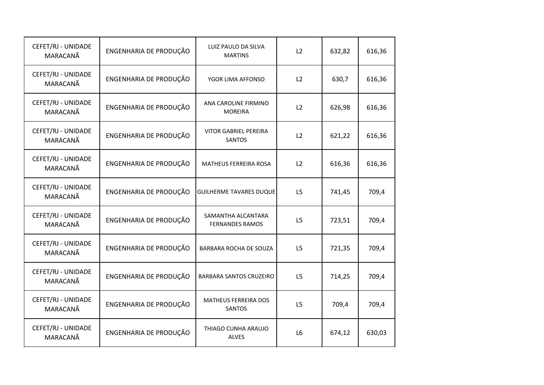| CEFET/RJ - UNIDADE<br>MARACANÃ | ENGENHARIA DE PRODUÇÃO | LUIZ PAULO DA SILVA<br><b>MARTINS</b>         | L2             | 632,82 | 616,36 |
|--------------------------------|------------------------|-----------------------------------------------|----------------|--------|--------|
| CEFET/RJ - UNIDADE<br>MARACANÃ | ENGENHARIA DE PRODUÇÃO | YGOR LIMA AFFONSO                             | L2             | 630,7  | 616,36 |
| CEFET/RJ - UNIDADE<br>MARACANÃ | ENGENHARIA DE PRODUÇÃO | ANA CAROLINE FIRMINO<br><b>MOREIRA</b>        | L2             | 626,98 | 616,36 |
| CEFET/RJ - UNIDADE<br>MARACANÃ | ENGENHARIA DE PRODUÇÃO | <b>VITOR GABRIEL PEREIRA</b><br><b>SANTOS</b> | L2             | 621,22 | 616,36 |
| CEFET/RJ - UNIDADE<br>MARACANÃ | ENGENHARIA DE PRODUÇÃO | <b>MATHEUS FERREIRA ROSA</b>                  | L2             | 616,36 | 616,36 |
| CEFET/RJ - UNIDADE<br>MARACANÃ | ENGENHARIA DE PRODUÇÃO | <b>GUILHERME TAVARES DUQUE</b>                | L <sub>5</sub> | 741,45 | 709,4  |
| CEFET/RJ - UNIDADE<br>MARACANÃ | ENGENHARIA DE PRODUÇÃO | SAMANTHA ALCANTARA<br><b>FERNANDES RAMOS</b>  | L <sub>5</sub> | 723,51 | 709,4  |
| CEFET/RJ - UNIDADE<br>MARACANÃ | ENGENHARIA DE PRODUÇÃO | BARBARA ROCHA DE SOUZA                        | L5             | 721,35 | 709,4  |
| CEFET/RJ - UNIDADE<br>MARACANÃ | ENGENHARIA DE PRODUÇÃO | BARBARA SANTOS CRUZEIRO                       | L5             | 714,25 | 709,4  |
| CEFET/RJ - UNIDADE<br>MARACANÃ | ENGENHARIA DE PRODUÇÃO | <b>MATHEUS FERREIRA DOS</b><br><b>SANTOS</b>  | L5             | 709,4  | 709,4  |
| CEFET/RJ - UNIDADE<br>MARACANÃ | ENGENHARIA DE PRODUÇÃO | THIAGO CUNHA ARAUJO<br><b>ALVES</b>           | L <sub>6</sub> | 674,12 | 630,03 |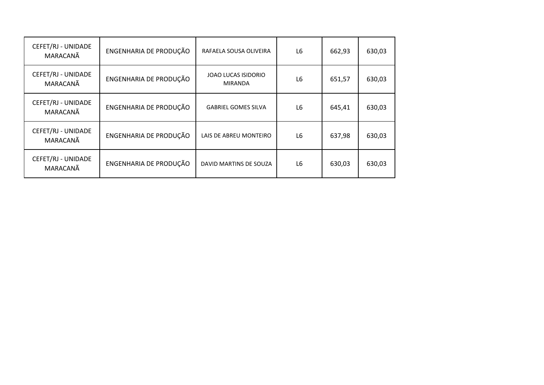| CEFET/RJ - UNIDADE<br>MARACANÃ | ENGENHARIA DE PRODUÇÃO | RAFAELA SOUSA OLIVEIRA         | L <sub>6</sub> | 662,93 | 630,03 |
|--------------------------------|------------------------|--------------------------------|----------------|--------|--------|
| CEFET/RJ - UNIDADE<br>MARACANÃ | ENGENHARIA DE PRODUÇÃO | JOAO LUCAS ISIDORIO<br>MIRANDA | L <sub>6</sub> | 651,57 | 630,03 |
| CEFET/RJ - UNIDADE<br>MARACANÃ | ENGENHARIA DE PRODUÇÃO | <b>GABRIEL GOMES SILVA</b>     | L <sub>6</sub> | 645,41 | 630,03 |
| CEFET/RJ - UNIDADE<br>MARACANÃ | ENGENHARIA DE PRODUÇÃO | LAIS DE ABREU MONTEIRO         | L <sub>6</sub> | 637,98 | 630,03 |
| CEFET/RJ - UNIDADE<br>MARACANÃ | ENGENHARIA DE PRODUÇÃO | DAVID MARTINS DE SOUZA         | L <sub>6</sub> | 630,03 | 630,03 |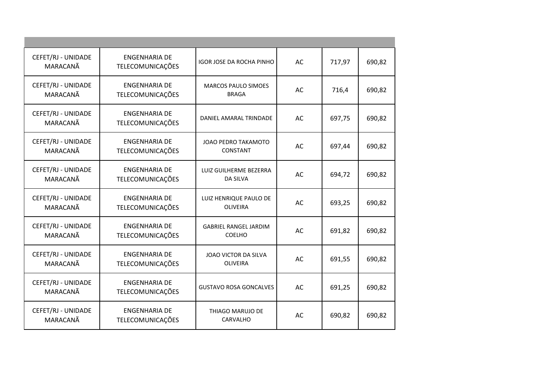| CEFET/RJ - UNIDADE<br>MARACANÃ | <b>ENGENHARIA DE</b><br>TELECOMUNICAÇÕES        | IGOR JOSE DA ROCHA PINHO                      | AC        | 717,97 | 690,82 |
|--------------------------------|-------------------------------------------------|-----------------------------------------------|-----------|--------|--------|
| CEFET/RJ - UNIDADE<br>MARACANÃ | <b>ENGENHARIA DE</b><br>TELECOMUNICAÇÕES        | <b>MARCOS PAULO SIMOES</b><br><b>BRAGA</b>    | <b>AC</b> | 716,4  | 690,82 |
| CEFET/RJ - UNIDADE<br>MARACANÃ | <b>ENGENHARIA DE</b><br>TELECOMUNICAÇÕES        | DANIEL AMARAL TRINDADE                        | AC        | 697,75 | 690,82 |
| CEFET/RJ - UNIDADE<br>MARACANÃ | <b>ENGENHARIA DE</b><br>TELECOMUNICAÇÕES        | JOAO PEDRO TAKAMOTO<br><b>CONSTANT</b>        | AC        | 697,44 | 690,82 |
| CEFET/RJ - UNIDADE<br>MARACANÃ | <b>ENGENHARIA DE</b><br>TELECOMUNICAÇÕES        | LUIZ GUILHERME BEZERRA<br>DA SILVA            | AC        | 694,72 | 690,82 |
| CEFET/RJ - UNIDADE<br>MARACANÃ | <b>ENGENHARIA DE</b><br>TELECOMUNICAÇÕES        | LUIZ HENRIQUE PAULO DE<br><b>OLIVEIRA</b>     | AC        | 693,25 | 690,82 |
| CEFET/RJ - UNIDADE<br>MARACANÃ | <b>ENGENHARIA DE</b><br>TELECOMUNICAÇÕES        | <b>GABRIEL RANGEL JARDIM</b><br><b>COELHO</b> | <b>AC</b> | 691,82 | 690,82 |
| CEFET/RJ - UNIDADE<br>MARACANÃ | <b>ENGENHARIA DE</b><br><b>TELECOMUNICAÇÕES</b> | JOAO VICTOR DA SILVA<br><b>OLIVEIRA</b>       | AC        | 691,55 | 690,82 |
| CEFET/RJ - UNIDADE<br>MARACANÃ | <b>ENGENHARIA DE</b><br>TELECOMUNICAÇÕES        | <b>GUSTAVO ROSA GONCALVES</b>                 | AC        | 691,25 | 690,82 |
| CEFET/RJ - UNIDADE<br>MARACANÃ | <b>ENGENHARIA DE</b><br>TELECOMUNICAÇÕES        | THIAGO MARUJO DE<br>CARVALHO                  | AC        | 690,82 | 690,82 |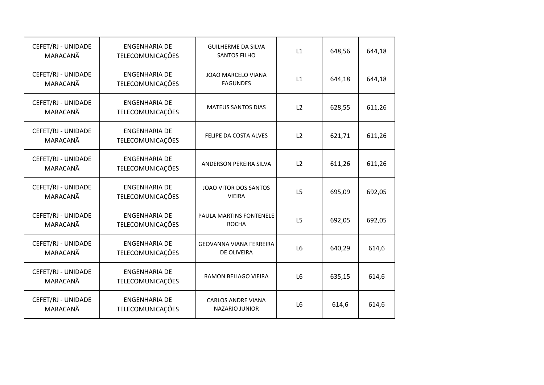| CEFET/RJ - UNIDADE<br>MARACANÃ | <b>ENGENHARIA DE</b><br>TELECOMUNICAÇÕES        | <b>GUILHERME DA SILVA</b><br><b>SANTOS FILHO</b>   | L1             | 648,56 | 644,18 |
|--------------------------------|-------------------------------------------------|----------------------------------------------------|----------------|--------|--------|
| CEFET/RJ - UNIDADE<br>MARACANÃ | <b>ENGENHARIA DE</b><br>TELECOMUNICAÇÕES        | <b>JOAO MARCELO VIANA</b><br><b>FAGUNDES</b>       | L1             | 644,18 | 644,18 |
| CEFET/RJ - UNIDADE<br>MARACANÃ | <b>ENGENHARIA DE</b><br>TELECOMUNICAÇÕES        | MATEUS SANTOS DIAS                                 | L2             | 628,55 | 611,26 |
| CEFET/RJ - UNIDADE<br>MARACANÃ | <b>ENGENHARIA DE</b><br>TELECOMUNICAÇÕES        | FELIPE DA COSTA ALVES                              | L2             | 621,71 | 611,26 |
| CEFET/RJ - UNIDADE<br>MARACANÃ | <b>ENGENHARIA DE</b><br>TELECOMUNICAÇÕES        | ANDERSON PEREIRA SILVA                             | L2             | 611,26 | 611,26 |
| CEFET/RJ - UNIDADE<br>MARACANÃ | <b>ENGENHARIA DE</b><br><b>TELECOMUNICAÇÕES</b> | JOAO VITOR DOS SANTOS<br><b>VIEIRA</b>             | L <sub>5</sub> | 695,09 | 692,05 |
| CEFET/RJ - UNIDADE<br>MARACANÃ | <b>ENGENHARIA DE</b><br>TELECOMUNICAÇÕES        | PAULA MARTINS FONTENELE<br><b>ROCHA</b>            | L5             | 692,05 | 692,05 |
| CEFET/RJ - UNIDADE<br>MARACANÃ | <b>ENGENHARIA DE</b><br>TELECOMUNICAÇÕES        | <b>GEOVANNA VIANA FERREIRA</b><br>DE OLIVEIRA      | L <sub>6</sub> | 640,29 | 614,6  |
| CEFET/RJ - UNIDADE<br>MARACANÃ | <b>ENGENHARIA DE</b><br>TELECOMUNICAÇÕES        | <b>RAMON BELIAGO VIEIRA</b>                        | L <sub>6</sub> | 635,15 | 614,6  |
| CEFET/RJ - UNIDADE<br>MARACANÃ | <b>ENGENHARIA DE</b><br><b>TELECOMUNICAÇÕES</b> | <b>CARLOS ANDRE VIANA</b><br><b>NAZARIO JUNIOR</b> | L <sub>6</sub> | 614,6  | 614,6  |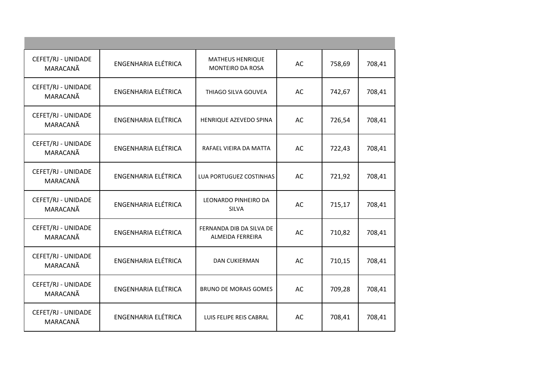| CEFET/RJ - UNIDADE<br>MARACANÃ<br>CEFET/RJ - UNIDADE | <b>ENGENHARIA ELÉTRICA</b> | <b>MATHEUS HENRIQUE</b><br>MONTEIRO DA ROSA  | AC |        |        |
|------------------------------------------------------|----------------------------|----------------------------------------------|----|--------|--------|
|                                                      |                            |                                              |    | 758,69 | 708,41 |
| MARACANÃ                                             | <b>ENGENHARIA ELÉTRICA</b> | THIAGO SILVA GOUVEA                          | AC | 742,67 | 708,41 |
| CEFET/RJ - UNIDADE<br>MARACANÃ                       | ENGENHARIA ELÉTRICA        | HENRIQUE AZEVEDO SPINA                       | AC | 726,54 | 708,41 |
| CEFET/RJ - UNIDADE<br>MARACANÃ                       | <b>ENGENHARIA ELÉTRICA</b> | RAFAEL VIEIRA DA MATTA                       | AC | 722,43 | 708,41 |
| CEFET/RJ - UNIDADE<br>MARACANÃ                       | <b>ENGENHARIA ELÉTRICA</b> | LUA PORTUGUEZ COSTINHAS                      | AC | 721,92 | 708,41 |
| CEFET/RJ - UNIDADE<br>MARACANÃ                       | <b>ENGENHARIA ELÉTRICA</b> | LEONARDO PINHEIRO DA<br><b>SILVA</b>         | AC | 715,17 | 708,41 |
| CEFET/RJ - UNIDADE<br>MARACANÃ                       | <b>ENGENHARIA ELÉTRICA</b> | FERNANDA DIB DA SILVA DE<br>ALMEIDA FERREIRA | AC | 710,82 | 708,41 |
| CEFET/RJ - UNIDADE<br>MARACANÃ                       | <b>ENGENHARIA ELÉTRICA</b> | <b>DAN CUKIERMAN</b>                         | AC | 710,15 | 708,41 |
| CEFET/RJ - UNIDADE<br>MARACANÃ                       | <b>ENGENHARIA ELÉTRICA</b> | <b>BRUNO DE MORAIS GOMES</b>                 | AC | 709,28 | 708,41 |
| CEFET/RJ - UNIDADE<br>MARACANÃ                       | <b>ENGENHARIA ELÉTRICA</b> | LUIS FELIPE REIS CABRAL                      | AC | 708,41 | 708,41 |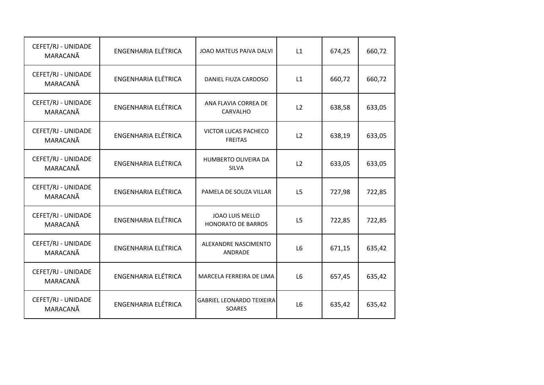| CEFET/RJ - UNIDADE<br>MARACANÃ | ENGENHARIA ELÉTRICA        | JOAO MATEUS PAIVA DALVI                      | L1             | 674,25 | 660,72 |
|--------------------------------|----------------------------|----------------------------------------------|----------------|--------|--------|
| CEFET/RJ - UNIDADE<br>MARACANÃ | ENGENHARIA ELÉTRICA        | DANIEL FIUZA CARDOSO                         | L1             | 660,72 | 660,72 |
| CEFET/RJ - UNIDADE<br>MARACANÃ | <b>ENGENHARIA ELÉTRICA</b> | ANA FLAVIA CORREA DE<br><b>CARVALHO</b>      | L2             | 638,58 | 633,05 |
| CEFET/RJ - UNIDADE<br>MARACANÃ | ENGENHARIA ELÉTRICA        | VICTOR LUCAS PACHECO<br><b>FREITAS</b>       | L2             | 638,19 | 633,05 |
| CEFET/RJ - UNIDADE<br>MARACANÃ | <b>ENGENHARIA ELÉTRICA</b> | HUMBERTO OLIVEIRA DA<br><b>SILVA</b>         | L2             | 633,05 | 633,05 |
| CEFET/RJ - UNIDADE<br>MARACANÃ | <b>ENGENHARIA ELÉTRICA</b> | PAMELA DE SOUZA VILLAR                       | L <sub>5</sub> | 727,98 | 722,85 |
| CEFET/RJ - UNIDADE<br>MARACANÃ | ENGENHARIA ELÉTRICA        | JOAO LUIS MELLO<br><b>HONORATO DE BARROS</b> | L5             | 722,85 | 722,85 |
| CEFET/RJ - UNIDADE<br>MARACANÃ | <b>ENGENHARIA ELÉTRICA</b> | ALEXANDRE NASCIMENTO<br>ANDRADE              | L6             | 671,15 | 635,42 |
| CEFET/RJ - UNIDADE<br>MARACANÃ | <b>ENGENHARIA ELÉTRICA</b> | MARCELA FERREIRA DE LIMA                     | L6             | 657,45 | 635,42 |
| CEFET/RJ - UNIDADE<br>MARACANÃ | <b>ENGENHARIA ELÉTRICA</b> | <b>GABRIEL LEONARDO TEIXEIRA</b><br>SOARES   | L <sub>6</sub> | 635,42 | 635,42 |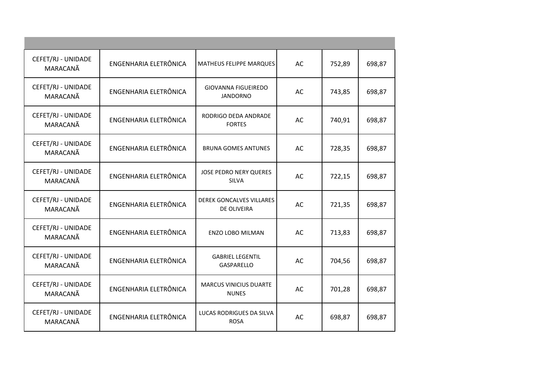| CEFET/RJ - UNIDADE<br>MARACANÃ | ENGENHARIA ELETRÔNICA | MATHEUS FELIPPE MARQUES                               | AC | 752,89 | 698,87 |
|--------------------------------|-----------------------|-------------------------------------------------------|----|--------|--------|
| CEFET/RJ - UNIDADE<br>MARACANÃ | ENGENHARIA ELETRÔNICA | GIOVANNA FIGUEIREDO<br><b>JANDORNO</b>                | AC | 743,85 | 698,87 |
| CEFET/RJ - UNIDADE<br>MARACANÃ | ENGENHARIA ELETRÔNICA | RODRIGO DEDA ANDRADE<br><b>FORTES</b>                 | AC | 740,91 | 698,87 |
| CEFET/RJ - UNIDADE<br>MARACANÃ | ENGENHARIA ELETRÔNICA | <b>BRUNA GOMES ANTUNES</b>                            | AC | 728,35 | 698,87 |
| CEFET/RJ - UNIDADE<br>MARACANÃ | ENGENHARIA ELETRÔNICA | <b>JOSE PEDRO NERY QUERES</b><br><b>SILVA</b>         | AC | 722,15 | 698,87 |
| CEFET/RJ - UNIDADE<br>MARACANÃ | ENGENHARIA ELETRÔNICA | <b>DEREK GONCALVES VILLARES</b><br><b>DE OLIVEIRA</b> | AC | 721,35 | 698,87 |
| CEFET/RJ - UNIDADE<br>MARACANÃ | ENGENHARIA ELETRÔNICA | <b>ENZO LOBO MILMAN</b>                               | AC | 713,83 | 698,87 |
| CEFET/RJ - UNIDADE<br>MARACANÃ | ENGENHARIA ELETRÔNICA | <b>GABRIEL LEGENTIL</b><br>GASPARELLO                 | AC | 704,56 | 698,87 |
| CEFET/RJ - UNIDADE<br>MARACANÃ | ENGENHARIA ELETRÔNICA | <b>MARCUS VINICIUS DUARTE</b><br><b>NUNES</b>         | AC | 701,28 | 698,87 |
| CEFET/RJ - UNIDADE<br>MARACANÃ | ENGENHARIA ELETRÔNICA | LUCAS RODRIGUES DA SILVA<br><b>ROSA</b>               | AC | 698,87 | 698,87 |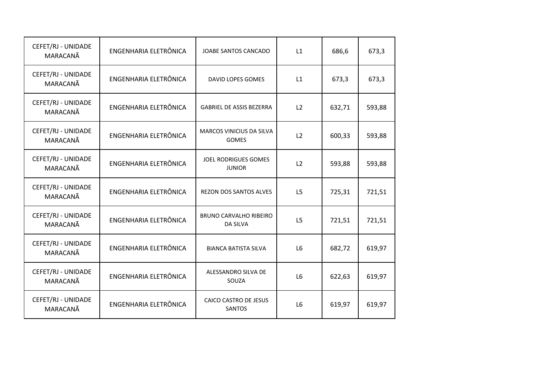| CEFET/RJ - UNIDADE<br>MARACANÃ | ENGENHARIA ELETRÔNICA | JOABE SANTOS CANCADO                      | L1 | 686,6  | 673,3  |
|--------------------------------|-----------------------|-------------------------------------------|----|--------|--------|
| CEFET/RJ - UNIDADE<br>MARACANÃ | ENGENHARIA ELETRÔNICA | DAVID LOPES GOMES                         | L1 | 673,3  | 673,3  |
| CEFET/RJ - UNIDADE<br>MARACANÃ | ENGENHARIA ELETRÔNICA | <b>GABRIEL DE ASSIS BEZERRA</b>           | L2 | 632,71 | 593,88 |
| CEFET/RJ - UNIDADE<br>MARACANÃ | ENGENHARIA ELETRÔNICA | MARCOS VINICIUS DA SILVA<br>GOMES         | L2 | 600,33 | 593,88 |
| CEFET/RJ - UNIDADE<br>MARACANÃ | ENGENHARIA ELETRÔNICA | JOEL RODRIGUES GOMES<br><b>JUNIOR</b>     | L2 | 593,88 | 593,88 |
| CEFET/RJ - UNIDADE<br>MARACANÃ | ENGENHARIA ELETRÔNICA | REZON DOS SANTOS ALVES                    | L5 | 725,31 | 721,51 |
| CEFET/RJ - UNIDADE<br>MARACANÃ | ENGENHARIA ELETRÔNICA | BRUNO CARVALHO RIBEIRO<br><b>DA SILVA</b> | L5 | 721,51 | 721,51 |
| CEFET/RJ - UNIDADE<br>MARACANÃ | ENGENHARIA ELETRÔNICA | <b>BIANCA BATISTA SILVA</b>               | L6 | 682,72 | 619,97 |
| CEFET/RJ - UNIDADE<br>MARACANÃ | ENGENHARIA ELETRÔNICA | ALESSANDRO SILVA DE<br>SOUZA              | L6 | 622,63 | 619,97 |
| CEFET/RJ - UNIDADE<br>MARACANÃ | ENGENHARIA ELETRÔNICA | CAICO CASTRO DE JESUS<br>SANTOS           | L6 | 619,97 | 619,97 |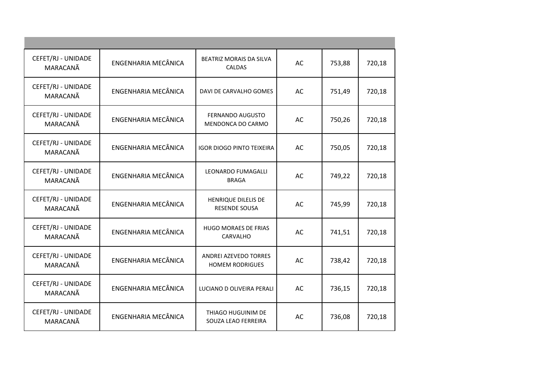| CEFET/RJ - UNIDADE<br>MARACANÃ | ENGENHARIA MECÂNICA        | BEATRIZ MORAIS DA SILVA<br><b>CALDAS</b>        | AC | 753,88 | 720,18 |
|--------------------------------|----------------------------|-------------------------------------------------|----|--------|--------|
| CEFET/RJ - UNIDADE<br>MARACANÃ | ENGENHARIA MECÂNICA        | DAVI DE CARVALHO GOMES                          | AC | 751,49 | 720,18 |
| CEFET/RJ - UNIDADE<br>MARACANÃ | ENGENHARIA MECÂNICA        | FERNANDO AUGUSTO<br>MENDONCA DO CARMO           | AC | 750,26 | 720,18 |
| CEFET/RJ - UNIDADE<br>MARACANÃ | ENGENHARIA MECÂNICA        | <b>IGOR DIOGO PINTO TEIXEIRA</b>                | AC | 750,05 | 720,18 |
| CEFET/RJ - UNIDADE<br>MARACANÃ | ENGENHARIA MECÂNICA        | LEONARDO FUMAGALLI<br><b>BRAGA</b>              | AC | 749,22 | 720,18 |
| CEFET/RJ - UNIDADE<br>MARACANÃ | <b>ENGENHARIA MECÂNICA</b> | HENRIQUE DILELIS DE<br>RESENDE SOUSA            | AC | 745,99 | 720,18 |
| CEFET/RJ - UNIDADE<br>MARACANÃ | ENGENHARIA MECÂNICA        | <b>HUGO MORAES DE FRIAS</b><br>CARVALHO         | AC | 741,51 | 720,18 |
| CEFET/RJ - UNIDADE<br>MARACANÃ | ENGENHARIA MECÂNICA        | ANDREI AZEVEDO TORRES<br><b>HOMEM RODRIGUES</b> | AC | 738,42 | 720,18 |
| CEFET/RJ - UNIDADE<br>MARACANÃ | ENGENHARIA MECÂNICA        | LUCIANO D OLIVEIRA PERALI                       | AC | 736,15 | 720,18 |
| CEFET/RJ - UNIDADE<br>MARACANÃ | ENGENHARIA MECÂNICA        | THIAGO HUGUINIM DE<br>SOUZA LEAO FERREIRA       | AC | 736,08 | 720,18 |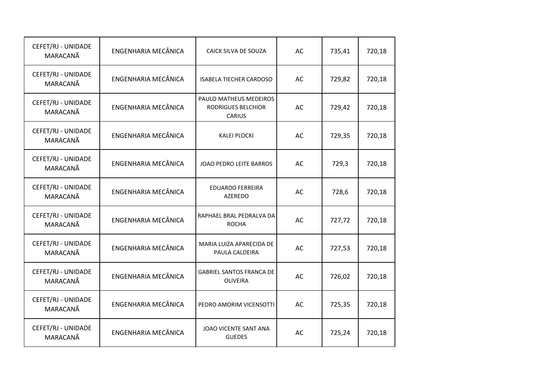| CEFET/RJ - UNIDADE<br>MARACANÃ | ENGENHARIA MECÂNICA | CAICK SILVA DE SOUZA                                          | AC | 735,41 | 720,18 |
|--------------------------------|---------------------|---------------------------------------------------------------|----|--------|--------|
| CEFET/RJ - UNIDADE<br>MARACANÃ | ENGENHARIA MECÂNICA | <b>ISABELA TIECHER CARDOSO</b>                                | AC | 729,82 | 720,18 |
| CEFET/RJ - UNIDADE<br>MARACANÃ | ENGENHARIA MECÂNICA | PAULO MATHEUS MEDEIROS<br>RODRIGUES BELCHIOR<br><b>CARIUS</b> | AC | 729,42 | 720,18 |
| CEFET/RJ - UNIDADE<br>MARACANÃ | ENGENHARIA MECÂNICA | <b>KALEI PLOCKI</b>                                           | AC | 729,35 | 720,18 |
| CEFET/RJ - UNIDADE<br>MARACANÃ | ENGENHARIA MECÂNICA | JOAO PEDRO LEITE BARROS                                       | AC | 729,3  | 720,18 |
| CEFET/RJ - UNIDADE<br>MARACANÃ | ENGENHARIA MECÂNICA | <b>EDUARDO FERREIRA</b><br>AZEREDO                            | AC | 728,6  | 720,18 |
| CEFET/RJ - UNIDADE<br>MARACANÃ | ENGENHARIA MECÂNICA | RAPHAEL BRAL PEDRALVA DA<br><b>ROCHA</b>                      | AC | 727,72 | 720,18 |
| CEFET/RJ - UNIDADE<br>MARACANÃ | ENGENHARIA MECÂNICA | MARIA LUIZA APARECIDA DE<br>PAULA CALDEIRA                    | AC | 727,53 | 720,18 |
| CEFET/RJ - UNIDADE<br>MARACANÃ | ENGENHARIA MECÂNICA | <b>GABRIEL SANTOS FRANCA DE</b><br><b>OLIVEIRA</b>            | AC | 726,02 | 720,18 |
| CEFET/RJ - UNIDADE<br>MARACANÃ | ENGENHARIA MECÂNICA | PEDRO AMORIM VICENSOTTI                                       | AC | 725,35 | 720,18 |
| CEFET/RJ - UNIDADE<br>MARACANÃ | ENGENHARIA MECÂNICA | JOAO VICENTE SANT ANA<br><b>GUEDES</b>                        | AC | 725,24 | 720,18 |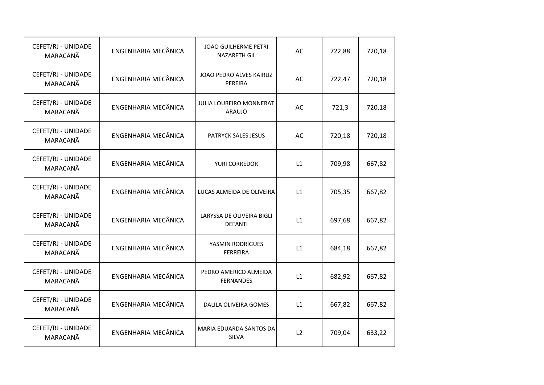| CEFET/RJ - UNIDADE<br>MARACANÃ | ENGENHARIA MECÂNICA | JOAO GUILHERME PETRI<br><b>NAZARETH GIL</b> | AC | 722,88 | 720,18 |
|--------------------------------|---------------------|---------------------------------------------|----|--------|--------|
| CEFET/RJ - UNIDADE<br>MARACANÃ | ENGENHARIA MECÂNICA | JOAO PEDRO ALVES KAIRUZ<br>PEREIRA          | AC | 722,47 | 720,18 |
| CEFET/RJ - UNIDADE<br>MARACANÃ | ENGENHARIA MECÂNICA | JULIA LOUREIRO MONNERAT<br><b>ARAUJO</b>    | AC | 721,3  | 720,18 |
| CEFET/RJ - UNIDADE<br>MARACANÃ | ENGENHARIA MECÂNICA | PATRYCK SALES JESUS                         | AC | 720,18 | 720,18 |
| CEFET/RJ - UNIDADE<br>MARACANÃ | ENGENHARIA MECÂNICA | YURI CORREDOR                               | L1 | 709,98 | 667,82 |
| CEFET/RJ - UNIDADE<br>MARACANÃ | ENGENHARIA MECÂNICA | LUCAS ALMEIDA DE OLIVEIRA                   | L1 | 705,35 | 667,82 |
| CEFET/RJ - UNIDADE<br>MARACANÃ | ENGENHARIA MECÂNICA | LARYSSA DE OLIVEIRA BIGLI<br><b>DEFANTI</b> | L1 | 697,68 | 667,82 |
| CEFET/RJ - UNIDADE<br>MARACANÃ | ENGENHARIA MECÂNICA | YASMIN RODRIGUES<br>FERREIRA                | L1 | 684,18 | 667,82 |
| CEFET/RJ - UNIDADE<br>MARACANÃ | ENGENHARIA MECÂNICA | PEDRO AMERICO ALMEIDA<br><b>FERNANDES</b>   | L1 | 682,92 | 667,82 |
| CEFET/RJ - UNIDADE<br>MARACANÃ | ENGENHARIA MECÂNICA | DALILA OLIVEIRA GOMES                       | L1 | 667,82 | 667,82 |
| CEFET/RJ - UNIDADE<br>MARACANÃ | ENGENHARIA MECÂNICA | MARIA EDUARDA SANTOS DA<br>SILVA            | L2 | 709,04 | 633,22 |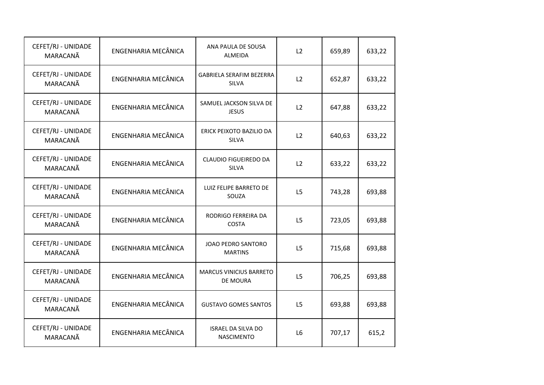| CEFET/RJ - UNIDADE<br>MARACANÃ | ENGENHARIA MECÂNICA | ANA PAULA DE SOUSA<br><b>ALMEIDA</b>           | L2             | 659,89 | 633,22 |
|--------------------------------|---------------------|------------------------------------------------|----------------|--------|--------|
| CEFET/RJ - UNIDADE<br>MARACANÃ | ENGENHARIA MECÂNICA | GABRIELA SERAFIM BEZERRA<br>SILVA              | L2             | 652,87 | 633,22 |
| CEFET/RJ - UNIDADE<br>MARACANÃ | ENGENHARIA MECÂNICA | SAMUEL JACKSON SILVA DE<br><b>JESUS</b>        | L2             | 647,88 | 633,22 |
| CEFET/RJ - UNIDADE<br>MARACANÃ | ENGENHARIA MECÂNICA | ERICK PEIXOTO BAZILIO DA<br>SILVA              | L2             | 640,63 | 633,22 |
| CEFET/RJ - UNIDADE<br>MARACANÃ | ENGENHARIA MECÂNICA | CLAUDIO FIGUEIREDO DA<br>SILVA                 | L2             | 633,22 | 633,22 |
| CEFET/RJ - UNIDADE<br>MARACANÃ | ENGENHARIA MECÂNICA | LUIZ FELIPE BARRETO DE<br>SOUZA                | L5             | 743,28 | 693,88 |
| CEFET/RJ - UNIDADE<br>MARACANÃ | ENGENHARIA MECÂNICA | RODRIGO FERREIRA DA<br><b>COSTA</b>            | L <sub>5</sub> | 723,05 | 693,88 |
| CEFET/RJ - UNIDADE<br>MARACANÃ | ENGENHARIA MECÂNICA | JOAO PEDRO SANTORO<br><b>MARTINS</b>           | L <sub>5</sub> | 715,68 | 693,88 |
| CEFET/RJ - UNIDADE<br>MARACANÃ | ENGENHARIA MECÂNICA | <b>MARCUS VINICIUS BARRETO</b><br>DE MOURA     | L5             | 706,25 | 693,88 |
| CEFET/RJ - UNIDADE<br>MARACANÃ | ENGENHARIA MECÂNICA | <b>GUSTAVO GOMES SANTOS</b>                    | L <sub>5</sub> | 693,88 | 693,88 |
| CEFET/RJ - UNIDADE<br>MARACANÃ | ENGENHARIA MECÂNICA | <b>ISRAEL DA SILVA DO</b><br><b>NASCIMENTO</b> | L6             | 707,17 | 615,2  |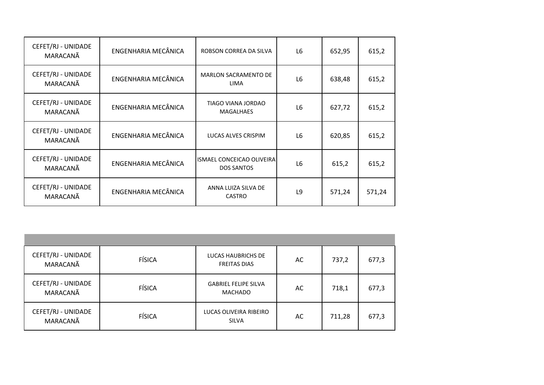| CEFET/RJ - UNIDADE<br>MARACANÃ | ENGENHARIA MECÂNICA | ROBSON CORREA DA SILVA                         | L <sub>6</sub> | 652,95 | 615,2  |
|--------------------------------|---------------------|------------------------------------------------|----------------|--------|--------|
| CEFET/RJ - UNIDADE<br>MARACANÃ | ENGENHARIA MECÂNICA | <b>MARLON SACRAMENTO DE</b><br><b>LIMA</b>     | L6             | 638,48 | 615,2  |
| CEFET/RJ - UNIDADE<br>MARACANÃ | ENGENHARIA MECÂNICA | TIAGO VIANA JORDAO<br><b>MAGALHAES</b>         | L <sub>6</sub> | 627,72 | 615,2  |
| CEFET/RJ - UNIDADE<br>MARACANÃ | ENGENHARIA MECÂNICA | LUCAS ALVES CRISPIM                            | L <sub>6</sub> | 620,85 | 615,2  |
| CEFET/RJ - UNIDADE<br>MARACANÃ | ENGENHARIA MECÂNICA | ISMAEL CONCEICAO OLIVEIRA<br><b>DOS SANTOS</b> | L6             | 615,2  | 615,2  |
| CEFET/RJ - UNIDADE<br>MARACANÃ | ENGENHARIA MECÂNICA | ANNA LUIZA SILVA DE<br><b>CASTRO</b>           | L9             | 571,24 | 571,24 |

| CEFET/RJ - UNIDADE<br>MARACANÃ | <b>FÍSICA</b> | LUCAS HAUBRICHS DE<br><b>FREITAS DIAS</b> | AC | 737,2  | 677,3 |
|--------------------------------|---------------|-------------------------------------------|----|--------|-------|
| CEFET/RJ - UNIDADE<br>MARACANÃ | <b>FÍSICA</b> | <b>GABRIEL FELIPE SILVA</b><br>MACHADO    | AC | 718,1  | 677,3 |
| CEFET/RJ - UNIDADE<br>MARACANÃ | <b>FÍSICA</b> | LUCAS OLIVEIRA RIBEIRO<br><b>SILVA</b>    | AC | 711,28 | 677,3 |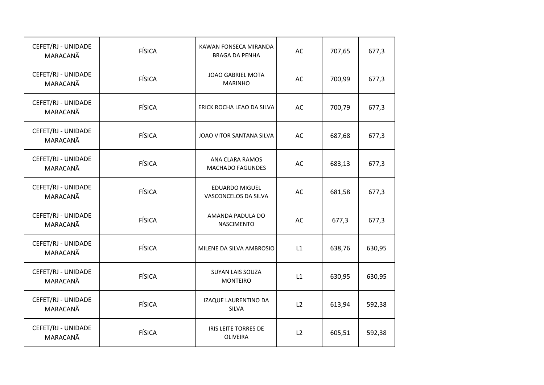| CEFET/RJ - UNIDADE<br>MARACANÃ | <b>FÍSICA</b> | KAWAN FONSECA MIRANDA<br><b>BRAGA DA PENHA</b> | AC | 707,65 | 677,3  |
|--------------------------------|---------------|------------------------------------------------|----|--------|--------|
| CEFET/RJ - UNIDADE<br>MARACANÃ | <b>FÍSICA</b> | JOAO GABRIEL MOTA<br><b>MARINHO</b>            | AC | 700,99 | 677,3  |
| CEFET/RJ - UNIDADE<br>MARACANÃ | <b>FÍSICA</b> | ERICK ROCHA LEAO DA SILVA                      | AC | 700,79 | 677,3  |
| CEFET/RJ - UNIDADE<br>MARACANÃ | FÍSICA        | JOAO VITOR SANTANA SILVA                       | AC | 687,68 | 677,3  |
| CEFET/RJ - UNIDADE<br>MARACANÃ | FÍSICA        | ANA CLARA RAMOS<br><b>MACHADO FAGUNDES</b>     | AC | 683,13 | 677,3  |
| CEFET/RJ - UNIDADE<br>MARACANÃ | <b>FÍSICA</b> | EDUARDO MIGUEL<br>VASCONCELOS DA SILVA         | AC | 681,58 | 677,3  |
| CEFET/RJ - UNIDADE<br>MARACANÃ | FÍSICA        | AMANDA PADULA DO<br><b>NASCIMENTO</b>          | AC | 677,3  | 677,3  |
| CEFET/RJ - UNIDADE<br>MARACANÃ | FÍSICA        | MILENE DA SILVA AMBROSIO                       | L1 | 638,76 | 630,95 |
| CEFET/RJ - UNIDADE<br>MARACANÃ | <b>FÍSICA</b> | <b>SUYAN LAIS SOUZA</b><br><b>MONTEIRO</b>     | L1 | 630,95 | 630,95 |
| CEFET/RJ - UNIDADE<br>MARACANÃ | FÍSICA        | IZAQUE LAURENTINO DA<br>SILVA                  | L2 | 613,94 | 592,38 |
| CEFET/RJ - UNIDADE<br>MARACANÃ | FÍSICA        | IRIS LEITE TORRES DE<br>OLIVEIRA               | L2 | 605,51 | 592,38 |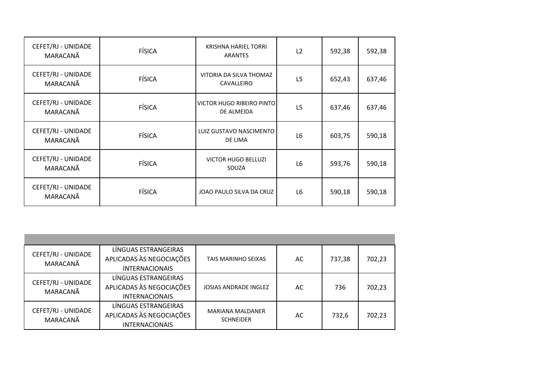| CEFET/RJ - UNIDADE<br>MARACANÃ | <b>FÍSICA</b> | KRISHNA HARIEL TORRI<br><b>ARANTES</b>  | L2             | 592,38 | 592,38 |
|--------------------------------|---------------|-----------------------------------------|----------------|--------|--------|
| CEFET/RJ - UNIDADE<br>MARACANÃ | <b>FÍSICA</b> | VITORIA DA SILVA THOMAZ<br>CAVALLEIRO   | L5             | 652,43 | 637,46 |
| CEFET/RJ - UNIDADE<br>MARACANÃ | <b>FÍSICA</b> | VICTOR HUGO RIBEIRO PINTO<br>DE ALMEIDA | L <sub>5</sub> | 637,46 | 637,46 |
| CEFET/RJ - UNIDADE<br>MARACANÃ | <b>FÍSICA</b> | LUIZ GUSTAVO NASCIMENTO<br>DE LIMA      | L6             | 603,75 | 590,18 |
| CEFET/RJ - UNIDADE<br>MARACANÃ | <b>FÍSICA</b> | <b>VICTOR HUGO BELLUZI</b><br>SOUZA     | L6             | 593,76 | 590,18 |
| CEFET/RJ - UNIDADE<br>MARACANÃ | <b>FÍSICA</b> | JOAO PAULO SILVA DA CRUZ                | L <sub>6</sub> | 590,18 | 590,18 |

| CEFET/RJ - UNIDADE<br>MARACANÃ | LÍNGUAS ESTRANGEIRAS     |                            |    |        |        |
|--------------------------------|--------------------------|----------------------------|----|--------|--------|
|                                | APLICADAS ÀS NEGOCIAÇÕES | <b>TAIS MARINHO SEIXAS</b> | AC | 737,38 | 702,23 |
|                                | <b>INTERNACIONAIS</b>    |                            |    |        |        |
| CEFET/RJ - UNIDADE<br>MARACANÃ | LÍNGUAS ESTRANGEIRAS     |                            |    |        |        |
|                                | APLICADAS ÀS NEGOCIAÇÕES | JOSIAS ANDRADE INGLEZ      | AC | 736    | 702,23 |
|                                | <b>INTERNACIONAIS</b>    |                            |    |        |        |
| CEFET/RJ - UNIDADE<br>MARACANÃ | LÍNGUAS ESTRANGEIRAS     | <b>MARIANA MALDANER</b>    |    |        |        |
|                                | APLICADAS ÀS NEGOCIAÇÕES | <b>SCHNEIDER</b>           | AC | 732,6  | 702,23 |
|                                | <b>INTERNACIONAIS</b>    |                            |    |        |        |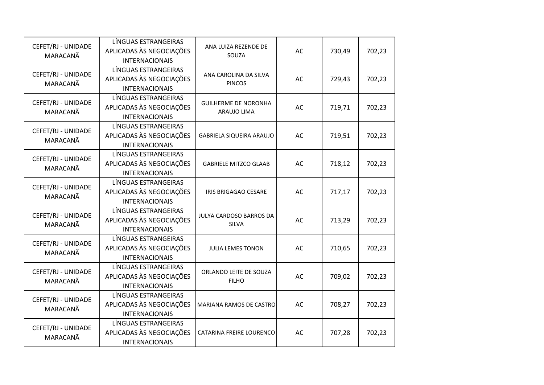| CEFET/RJ - UNIDADE<br>MARACANÃ | LÍNGUAS ESTRANGEIRAS<br>APLICADAS ÀS NEGOCIAÇÕES<br><b>INTERNACIONAIS</b> | ANA LUIZA REZENDE DE<br>SOUZA              | AC | 730,49 | 702,23 |
|--------------------------------|---------------------------------------------------------------------------|--------------------------------------------|----|--------|--------|
| CEFET/RJ - UNIDADE<br>MARACANÃ | LÍNGUAS ESTRANGEIRAS<br>APLICADAS ÀS NEGOCIAÇÕES<br><b>INTERNACIONAIS</b> | ANA CAROLINA DA SILVA<br><b>PINCOS</b>     | AC | 729,43 | 702,23 |
| CEFET/RJ - UNIDADE<br>MARACANÃ | LÍNGUAS ESTRANGEIRAS<br>APLICADAS ÀS NEGOCIAÇÕES<br><b>INTERNACIONAIS</b> | <b>GUILHERME DE NORONHA</b><br>ARAUJO LIMA | AC | 719,71 | 702,23 |
| CEFET/RJ - UNIDADE<br>MARACANÃ | LÍNGUAS ESTRANGEIRAS<br>APLICADAS ÀS NEGOCIAÇÕES<br><b>INTERNACIONAIS</b> | GABRIELA SIQUEIRA ARAUJO                   | AC | 719,51 | 702,23 |
| CEFET/RJ - UNIDADE<br>MARACANÃ | LÍNGUAS ESTRANGEIRAS<br>APLICADAS ÀS NEGOCIAÇÕES<br><b>INTERNACIONAIS</b> | <b>GABRIELE MITZCO GLAAB</b>               | AC | 718,12 | 702,23 |
| CEFET/RJ - UNIDADE<br>MARACANÃ | LÍNGUAS ESTRANGEIRAS<br>APLICADAS ÀS NEGOCIAÇÕES<br><b>INTERNACIONAIS</b> | IRIS BRIGAGAO CESARE                       | AC | 717,17 | 702,23 |
| CEFET/RJ - UNIDADE<br>MARACANÃ | LÍNGUAS ESTRANGEIRAS<br>APLICADAS ÀS NEGOCIAÇÕES<br><b>INTERNACIONAIS</b> | JULYA CARDOSO BARROS DA<br>SILVA           | AC | 713,29 | 702,23 |
| CEFET/RJ - UNIDADE<br>MARACANÃ | LÍNGUAS ESTRANGEIRAS<br>APLICADAS ÀS NEGOCIAÇÕES<br><b>INTERNACIONAIS</b> | JULIA LEMES TONON                          | AC | 710,65 | 702,23 |
| CEFET/RJ - UNIDADE<br>MARACANÃ | LÍNGUAS ESTRANGEIRAS<br>APLICADAS ÀS NEGOCIAÇÕES<br><b>INTERNACIONAIS</b> | ORLANDO LEITE DE SOUZA<br><b>FILHO</b>     | AC | 709,02 | 702,23 |
| CEFET/RJ - UNIDADE<br>MARACANÃ | LÍNGUAS ESTRANGEIRAS<br>APLICADAS ÀS NEGOCIAÇÕES<br><b>INTERNACIONAIS</b> | MARIANA RAMOS DE CASTRO                    | AC | 708,27 | 702,23 |
| CEFET/RJ - UNIDADE<br>MARACANÃ | LÍNGUAS ESTRANGEIRAS<br>APLICADAS ÀS NEGOCIAÇÕES<br><b>INTERNACIONAIS</b> | <b>CATARINA FREIRE LOURENCO</b>            | AC | 707,28 | 702,23 |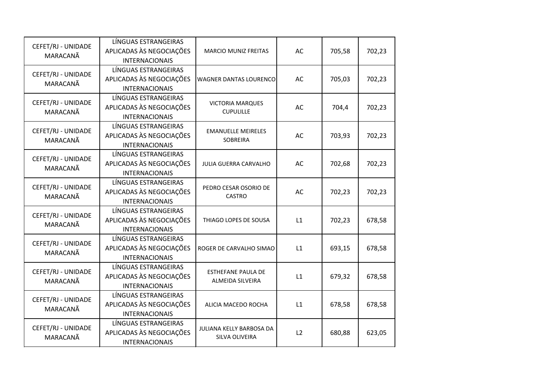| CEFET/RJ - UNIDADE<br>MARACANÃ | LÍNGUAS ESTRANGEIRAS<br>APLICADAS ÀS NEGOCIAÇÕES<br><b>INTERNACIONAIS</b> | <b>MARCIO MUNIZ FREITAS</b>                          | AC | 705,58 | 702,23 |
|--------------------------------|---------------------------------------------------------------------------|------------------------------------------------------|----|--------|--------|
| CEFET/RJ - UNIDADE<br>MARACANÃ | LÍNGUAS ESTRANGEIRAS<br>APLICADAS ÀS NEGOCIAÇÕES<br><b>INTERNACIONAIS</b> | <b>WAGNER DANTAS LOURENCO</b>                        | AC | 705,03 | 702,23 |
| CEFET/RJ - UNIDADE<br>MARACANÃ | LÍNGUAS ESTRANGEIRAS<br>APLICADAS ÀS NEGOCIAÇÕES<br><b>INTERNACIONAIS</b> | <b>VICTORIA MARQUES</b><br><b>CUPULILLE</b>          | AC | 704,4  | 702,23 |
| CEFET/RJ - UNIDADE<br>MARACANÃ | LÍNGUAS ESTRANGEIRAS<br>APLICADAS ÀS NEGOCIAÇÕES<br><b>INTERNACIONAIS</b> | <b>EMANUELLE MEIRELES</b><br>SOBREIRA                | AC | 703,93 | 702,23 |
| CEFET/RJ - UNIDADE<br>MARACANÃ | LÍNGUAS ESTRANGEIRAS<br>APLICADAS ÀS NEGOCIAÇÕES<br><b>INTERNACIONAIS</b> | JULIA GUERRA CARVALHO                                | AC | 702,68 | 702,23 |
| CEFET/RJ - UNIDADE<br>MARACANÃ | LÍNGUAS ESTRANGEIRAS<br>APLICADAS ÀS NEGOCIAÇÕES<br><b>INTERNACIONAIS</b> | PEDRO CESAR OSORIO DE<br><b>CASTRO</b>               | AC | 702,23 | 702,23 |
| CEFET/RJ - UNIDADE<br>MARACANÃ | LÍNGUAS ESTRANGEIRAS<br>APLICADAS ÀS NEGOCIAÇÕES<br><b>INTERNACIONAIS</b> | THIAGO LOPES DE SOUSA                                | L1 | 702,23 | 678,58 |
| CEFET/RJ - UNIDADE<br>MARACANÃ | LÍNGUAS ESTRANGEIRAS<br>APLICADAS ÀS NEGOCIAÇÕES<br><b>INTERNACIONAIS</b> | ROGER DE CARVALHO SIMAO                              | L1 | 693,15 | 678,58 |
| CEFET/RJ - UNIDADE<br>MARACANÃ | LÍNGUAS ESTRANGEIRAS<br>APLICADAS ÀS NEGOCIAÇÕES<br><b>INTERNACIONAIS</b> | <b>ESTHEFANE PAULA DE</b><br><b>ALMEIDA SILVEIRA</b> | L1 | 679,32 | 678,58 |
| CEFET/RJ - UNIDADE<br>MARACANÃ | LÍNGUAS ESTRANGEIRAS<br>APLICADAS ÀS NEGOCIAÇÕES<br><b>INTERNACIONAIS</b> | ALICIA MACEDO ROCHA                                  | L1 | 678,58 | 678,58 |
| CEFET/RJ - UNIDADE<br>MARACANÃ | LÍNGUAS ESTRANGEIRAS<br>APLICADAS ÀS NEGOCIAÇÕES<br><b>INTERNACIONAIS</b> | JULIANA KELLY BARBOSA DA<br>SILVA OLIVEIRA           | L2 | 680,88 | 623,05 |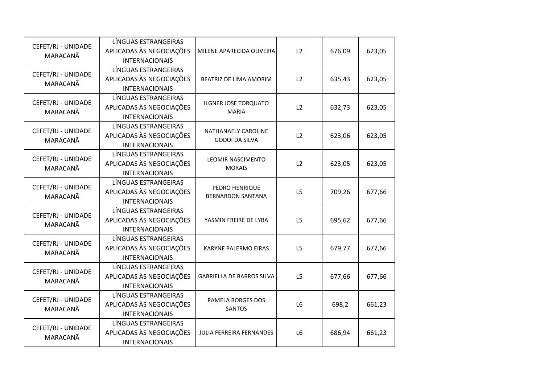| CEFET/RJ - UNIDADE<br>MARACANÃ | LÍNGUAS ESTRANGEIRAS<br>APLICADAS ÀS NEGOCIAÇÕES<br><b>INTERNACIONAIS</b> | MILENE APARECIDA OLIVEIRA                    | L2             | 676,09 | 623,05 |
|--------------------------------|---------------------------------------------------------------------------|----------------------------------------------|----------------|--------|--------|
| CEFET/RJ - UNIDADE<br>MARACANÃ | LÍNGUAS ESTRANGEIRAS<br>APLICADAS ÀS NEGOCIAÇÕES<br><b>INTERNACIONAIS</b> | BEATRIZ DE LIMA AMORIM                       | L2             | 635,43 | 623,05 |
| CEFET/RJ - UNIDADE<br>MARACANÃ | LÍNGUAS ESTRANGEIRAS<br>APLICADAS ÀS NEGOCIAÇÕES<br><b>INTERNACIONAIS</b> | ILGNER JOSE TORQUATO<br><b>MARIA</b>         |                | 632,73 | 623,05 |
| CEFET/RJ - UNIDADE<br>MARACANÃ | LÍNGUAS ESTRANGEIRAS<br>APLICADAS ÀS NEGOCIAÇÕES<br><b>INTERNACIONAIS</b> | NATHANAELY CAROLINE<br><b>GODOI DA SILVA</b> | L2             | 623,06 | 623,05 |
| CEFET/RJ - UNIDADE<br>MARACANÃ | LÍNGUAS ESTRANGEIRAS<br>APLICADAS ÀS NEGOCIAÇÕES<br><b>INTERNACIONAIS</b> | LEOMIR NASCIMENTO<br><b>MORAIS</b>           | L2             | 623,05 | 623,05 |
| CEFET/RJ - UNIDADE<br>MARACANÃ | LÍNGUAS ESTRANGEIRAS<br>APLICADAS ÀS NEGOCIAÇÕES<br><b>INTERNACIONAIS</b> | PEDRO HENRIQUE<br><b>BERNARDON SANTANA</b>   | L <sub>5</sub> | 709,26 | 677,66 |
| CEFET/RJ - UNIDADE<br>MARACANÃ | LÍNGUAS ESTRANGEIRAS<br>APLICADAS ÀS NEGOCIAÇÕES<br><b>INTERNACIONAIS</b> | YASMIN FREIRE DE LYRA                        | L5             | 695,62 | 677,66 |
| CEFET/RJ - UNIDADE<br>MARACANÃ | LÍNGUAS ESTRANGEIRAS<br>APLICADAS ÀS NEGOCIAÇÕES<br><b>INTERNACIONAIS</b> | <b>KARYNE PALERMO EIRAS</b>                  | L5             | 679,77 | 677,66 |
| CEFET/RJ - UNIDADE<br>MARACANÃ | LÍNGUAS ESTRANGEIRAS<br>APLICADAS ÀS NEGOCIAÇÕES<br><b>INTERNACIONAIS</b> | <b>GABRIELLA DE BARROS SILVA</b>             | L5             | 677,66 | 677,66 |
| CEFET/RJ - UNIDADE<br>MARACANÃ | LÍNGUAS ESTRANGEIRAS<br>APLICADAS ÀS NEGOCIAÇÕES<br><b>INTERNACIONAIS</b> | PAMELA BORGES DOS<br><b>SANTOS</b>           | L <sub>6</sub> | 698,2  | 661,23 |
| CEFET/RJ - UNIDADE<br>MARACANÃ | LÍNGUAS ESTRANGEIRAS<br>APLICADAS ÀS NEGOCIAÇÕES<br><b>INTERNACIONAIS</b> | JULIA FERREIRA FERNANDES                     | L <sub>6</sub> | 686,94 | 661,23 |